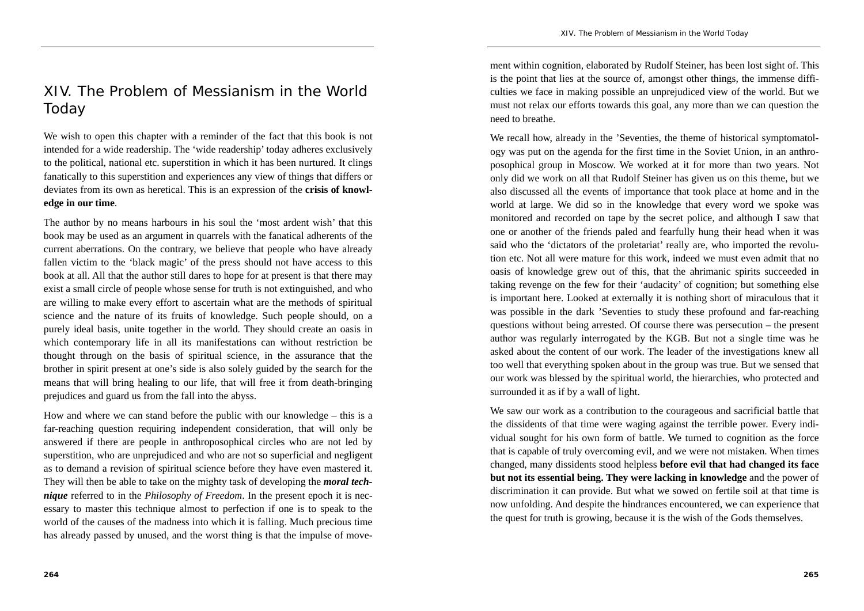# XIV. The Problem of Messianism in the World Today

We wish to open this chapter with a reminder of the fact that this book is not intended for a wide readership. The 'wide readership' today adheres exclusively to the political, national etc. superstition in which it has been nurtured. It clings fanatically to this superstition and experiences any view of things that differs or deviates from its own as heretical. This is an expression of the **crisis of knowledge in our time**.

The author by no means harbours in his soul the 'most ardent wish' that this book may be used as an argument in quarrels with the fanatical adherents of the current aberrations. On the contrary, we believe that people who have already fallen victim to the 'black magic' of the press should not have access to this book at all. All that the author still dares to hope for at present is that there may exist a small circle of people whose sense for truth is not extinguished, and who are willing to make every effort to ascertain what are the methods of spiritual science and the nature of its fruits of knowledge. Such people should, on a purely ideal basis, unite together in the world. They should create an oasis in which contemporary life in all its manifestations can without restriction be thought through on the basis of spiritual science, in the assurance that the brother in spirit present at one's side is also solely guided by the search for the means that will bring healing to our life, that will free it from death-bringing prejudices and guard us from the fall into the abyss.

How and where we can stand before the public with our knowledge – this is a far-reaching question requiring independent consideration, that will only be answered if there are people in anthroposophical circles who are not led by superstition, who are unprejudiced and who are not so superficial and negligent as to demand a revision of spiritual science before they have even mastered it. They will then be able to take on the mighty task of developing the *moral technique* referred to in the *Philosophy of Freedom*. In the present epoch it is necessary to master this technique almost to perfection if one is to speak to the world of the causes of the madness into which it is falling. Much precious time has already passed by unused, and the worst thing is that the impulse of movement within cognition, elaborated by Rudolf Steiner, has been lost sight of. This is the point that lies at the source of, amongst other things, the immense difficulties we face in making possible an unprejudiced view of the world. But we must not relax our efforts towards this goal, any more than we can question the need to breathe.

We recall how, already in the 'Seventies, the theme of historical symptomatology was put on the agenda for the first time in the Soviet Union, in an anthroposophical group in Moscow. We worked at it for more than two years. Not only did we work on all that Rudolf Steiner has given us on this theme, but we also discussed all the events of importance that took place at home and in the world at large. We did so in the knowledge that every word we spoke was monitored and recorded on tape by the secret police, and although I saw that one or another of the friends paled and fearfully hung their head when it was said who the 'dictators of the proletariat' really are, who imported the revolution etc. Not all were mature for this work, indeed we must even admit that no oasis of knowledge grew out of this, that the ahrimanic spirits succeeded in taking revenge on the few for their 'audacity' of cognition; but something else is important here. Looked at externally it is nothing short of miraculous that it was possible in the dark 'Seventies to study these profound and far-reaching questions without being arrested. Of course there was persecution – the present author was regularly interrogated by the KGB. But not a single time was he asked about the content of our work. The leader of the investigations knew all too well that everything spoken about in the group was true. But we sensed that our work was blessed by the spiritual world, the hierarchies, who protected and surrounded it as if by a wall of light.

We saw our work as a contribution to the courageous and sacrificial battle that the dissidents of that time were waging against the terrible power. Every individual sought for his own form of battle. We turned to cognition as the force that is capable of truly overcoming evil, and we were not mistaken. When times changed, many dissidents stood helpless **before evil that had changed its face but not its essential being. They were lacking in knowledge** and the power of discrimination it can provide. But what we sowed on fertile soil at that time is now unfolding. And despite the hindrances encountered, we can experience that the quest for truth is growing, because it is the wish of the Gods themselves.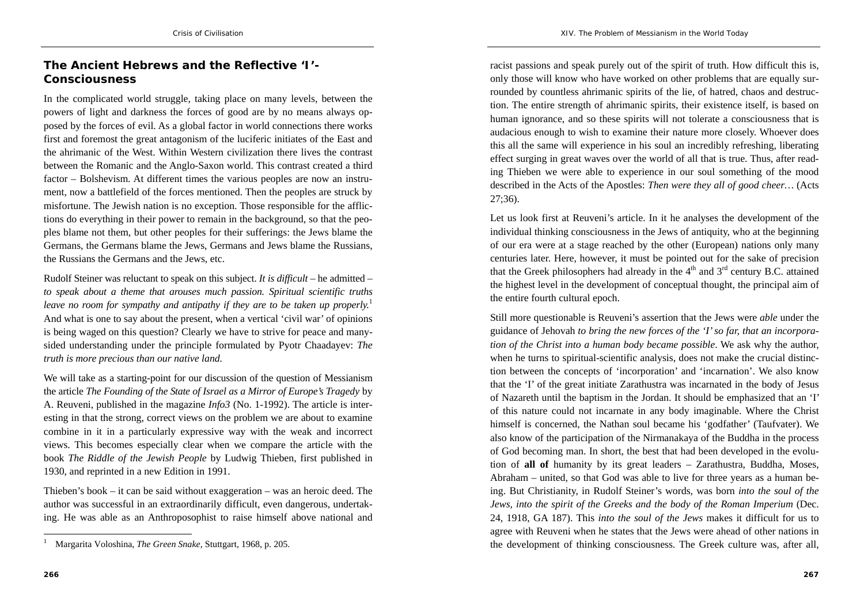# **The Ancient Hebrews and the Reflective 'I'-Consciousness**

In the complicated world struggle, taking place on many levels, between the powers of light and darkness the forces of good are by no means always opposed by the forces of evil. As a global factor in world connections there works first and foremost the great antagonism of the luciferic initiates of the East and the ahrimanic of the West. Within Western civilization there lives the contrast between the Romanic and the Anglo-Saxon world. This contrast created a third factor – Bolshevism. At different times the various peoples are now an instrument, now a battlefield of the forces mentioned. Then the peoples are struck by misfortune. The Jewish nation is no exception. Those responsible for the afflictions do everything in their power to remain in the background, so that the peoples blame not them, but other peoples for their sufferings: the Jews blame the Germans, the Germans blame the Jews, Germans and Jews blame the Russians, the Russians the Germans and the Jews, etc.

Rudolf Steiner was reluctant to speak on this subject. *It is difficult –* he admitted – *to speak about a theme that arouses much passion. Spiritual scientific truths leave no room for sympathy and antipathy if they are to be taken up properly.*<sup>1</sup> And what is one to say about the present, when a vertical 'civil war' of opinions is being waged on this question? Clearly we have to strive for peace and manysided understanding under the principle formulated by Pyotr Chaadayev: *The truth is more precious than our native land.*

We will take as a starting-point for our discussion of the question of Messianism the article *The Founding of the State of Israel as a Mirror of Europe's Tragedy* by A. Reuveni, published in the magazine *Info3* (No. 1-1992). The article is interesting in that the strong, correct views on the problem we are about to examine combine in it in a particularly expressive way with the weak and incorrect views. This becomes especially clear when we compare the article with the book *The Riddle of the Jewish People* by Ludwig Thieben, first published in 1930, and reprinted in a new Edition in 1991.

Thieben's book – it can be said without exaggeration – was an heroic deed. The author was successful in an extraordinarily difficult, even dangerous, undertaking. He was able as an Anthroposophist to raise himself above national and

**266**

racist passions and speak purely out of the spirit of truth. How difficult this is, only those will know who have worked on other problems that are equally surrounded by countless ahrimanic spirits of the lie, of hatred, chaos and destruction. The entire strength of ahrimanic spirits, their existence itself, is based on human ignorance, and so these spirits will not tolerate a consciousness that is audacious enough to wish to examine their nature more closely. Whoever does this all the same will experience in his soul an incredibly refreshing, liberating effect surging in great waves over the world of all that is true. Thus, after reading Thieben we were able to experience in our soul something of the mood described in the Acts of the Apostles: *Then were they all of good cheer…* (Acts 27;36).

Let us look first at Reuveni's article. In it he analyses the development of the individual thinking consciousness in the Jews of antiquity, who at the beginning of our era were at a stage reached by the other (European) nations only many centuries later. Here, however, it must be pointed out for the sake of precision that the Greek philosophers had already in the  $4<sup>th</sup>$  and  $3<sup>rd</sup>$  century B.C. attained the highest level in the development of conceptual thought, the principal aim of the entire fourth cultural epoch.

Still more questionable is Reuveni's assertion that the Jews were *able* under the guidance of Jehovah *to bring the new forces of the 'I' so far, that an incorporation of the Christ into a human body became possible*. We ask why the author, when he turns to spiritual-scientific analysis, does not make the crucial distinction between the concepts of 'incorporation' and 'incarnation'. We also know that the 'I' of the great initiate Zarathustra was incarnated in the body of Jesus of Nazareth until the baptism in the Jordan. It should be emphasized that an 'I' of this nature could not incarnate in any body imaginable. Where the Christ himself is concerned, the Nathan soul became his 'godfather' (Taufvater). We also know of the participation of the Nirmanakaya of the Buddha in the process of God becoming man. In short, the best that had been developed in the evolution of **all of** humanity by its great leaders – Zarathustra, Buddha, Moses, Abraham – united, so that God was able to live for three years as a human being. But Christianity, in Rudolf Steiner's words, was born *into the soul of the Jews, into the spirit of the Greeks and the body of the Roman Imperium* (Dec. 24, 1918, GA 187). This *into the soul of the Jews* makes it difficult for us to agree with Reuveni when he states that the Jews were ahead of other nations in the development of thinking consciousness. The Greek culture was, after all,

<sup>1</sup> Margarita Voloshina, *The Green Snake*, Stuttgart, 1968, p. 205.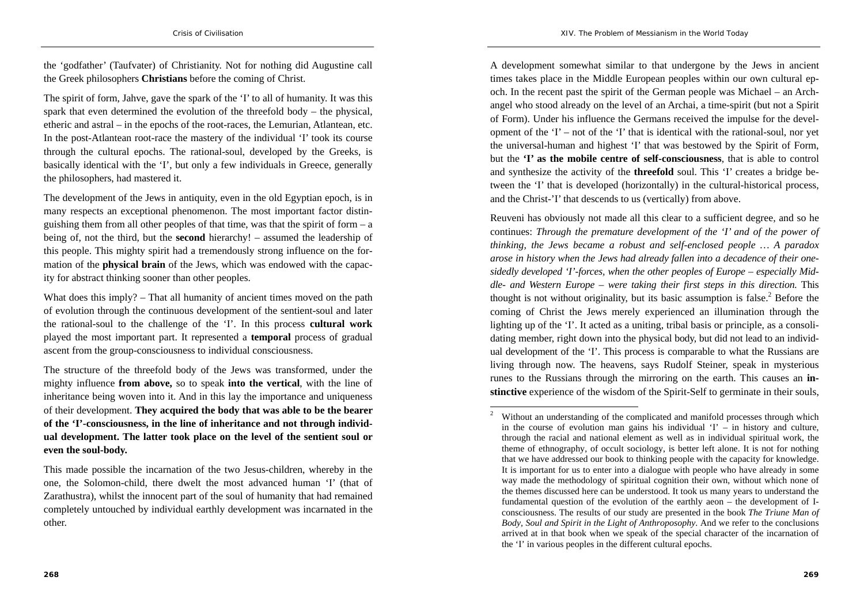the 'godfather' (Taufvater) of Christianity. Not for nothing did Augustine call the Greek philosophers **Christians** before the coming of Christ.

The spirit of form, Jahve, gave the spark of the 'I' to all of humanity. It was this spark that even determined the evolution of the threefold body – the physical, etheric and astral – in the epochs of the root-races, the Lemurian, Atlantean, etc. In the post-Atlantean root-race the mastery of the individual 'I' took its course through the cultural epochs. The rational-soul, developed by the Greeks, is basically identical with the 'I', but only a few individuals in Greece, generally the philosophers, had mastered it.

The development of the Jews in antiquity, even in the old Egyptian epoch, is in many respects an exceptional phenomenon. The most important factor distinguishing them from all other peoples of that time, was that the spirit of form  $- a$ being of, not the third, but the **second** hierarchy! – assumed the leadership of this people. This mighty spirit had a tremendously strong influence on the formation of the **physical brain** of the Jews, which was endowed with the capacity for abstract thinking sooner than other peoples.

What does this imply? – That all humanity of ancient times moved on the path of evolution through the continuous development of the sentient-soul and later the rational-soul to the challenge of the 'I'. In this process **cultural work** played the most important part. It represented a **temporal** process of gradual ascent from the group-consciousness to individual consciousness.

The structure of the threefold body of the Jews was transformed, under the mighty influence **from above,** so to speak **into the vertical**, with the line of inheritance being woven into it. And in this lay the importance and uniqueness of their development. **They acquired the body that was able to be the bearer of the 'I'-consciousness, in the line of inheritance and not through individual development. The latter took place on the level of the sentient soul or even the soul-body.**

A development somewhat similar to that undergone by the Jews in ancient times takes place in the Middle European peoples within our own cultural epoch. In the recent past the spirit of the German people was Michael – an Archangel who stood already on the level of an Archai, a time-spirit (but not a Spirit of Form). Under his influence the Germans received the impulse for the development of the 'I' – not of the 'I' that is identical with the rational-soul, nor yet the universal-human and highest 'I' that was bestowed by the Spirit of Form, but the **'I' as the mobile centre of self-consciousness**, that is able to control and synthesize the activity of the **threefold** soul. This 'I' creates a bridge between the 'I' that is developed (horizontally) in the cultural-historical process, and the Christ-'I' that descends to us (vertically) from above.

Reuveni has obviously not made all this clear to a sufficient degree, and so he continues: *Through the premature development of the 'I' and of the power of thinking, the Jews became a robust and self-enclosed people … A paradox arose in history when the Jews had already fallen into a decadence of their onesidedly developed 'I'-forces, when the other peoples of Europe – especially Middle- and Western Europe – were taking their first steps in this direction.* This thought is not without originality, but its basic assumption is false.<sup>2</sup> Before the coming of Christ the Jews merely experienced an illumination through the lighting up of the 'I'. It acted as a uniting, tribal basis or principle, as a consolidating member, right down into the physical body, but did not lead to an individual development of the 'I'. This process is comparable to what the Russians are living through now. The heavens, says Rudolf Steiner, speak in mysterious runes to the Russians through the mirroring on the earth. This causes an **instinctive** experience of the wisdom of the Spirit-Self to germinate in their souls,

This made possible the incarnation of the two Jesus-children, whereby in the one, the Solomon-child, there dwelt the most advanced human 'I' (that of Zarathustra), whilst the innocent part of the soul of humanity that had remained completely untouched by individual earthly development was incarnated in the other.

<sup>&</sup>lt;sup>2</sup> Without an understanding of the complicated and manifold processes through which in the course of evolution man gains his individual  $T -$  in history and culture. through the racial and national element as well as in individual spiritual work, the theme of ethnography, of occult sociology, is better left alone. It is not for nothing that we have addressed our book to thinking people with the capacity for knowledge. It is important for us to enter into a dialogue with people who have already in some way made the methodology of spiritual cognition their own, without which none of the themes discussed here can be understood. It took us many years to understand the fundamental question of the evolution of the earthly aeon – the development of Iconsciousness. The results of our study are presented in the book *The Triune Man of Body, Soul and Spirit in the Light of Anthroposophy*. And we refer to the conclusions arrived at in that book when we speak of the special character of the incarnation of the 'I' in various peoples in the different cultural epochs.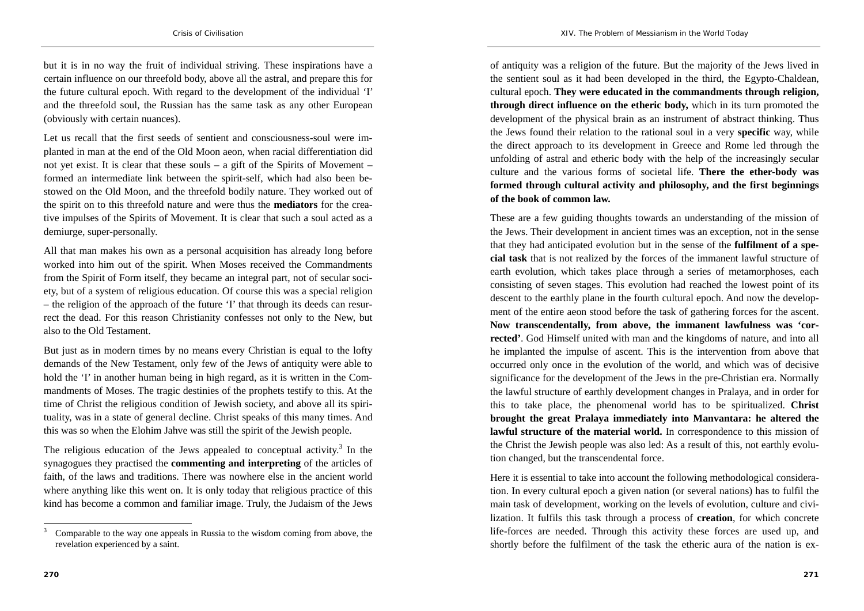*XIV. The Problem of Messianism in the World Today* 

but it is in no way the fruit of individual striving. These inspirations have a certain influence on our threefold body, above all the astral, and prepare this for the future cultural epoch. With regard to the development of the individual 'I' and the threefold soul, the Russian has the same task as any other European (obviously with certain nuances).

Let us recall that the first seeds of sentient and consciousness-soul were implanted in man at the end of the Old Moon aeon, when racial differentiation did not yet exist. It is clear that these souls – a gift of the Spirits of Movement – formed an intermediate link between the spirit-self, which had also been bestowed on the Old Moon, and the threefold bodily nature. They worked out of the spirit on to this threefold nature and were thus the **mediators** for the creative impulses of the Spirits of Movement. It is clear that such a soul acted as a demiurge, super-personally.

All that man makes his own as a personal acquisition has already long before worked into him out of the spirit. When Moses received the Commandments from the Spirit of Form itself, they became an integral part, not of secular society, but of a system of religious education. Of course this was a special religion – the religion of the approach of the future 'I' that through its deeds can resurrect the dead. For this reason Christianity confesses not only to the New, but also to the Old Testament.

But just as in modern times by no means every Christian is equal to the lofty demands of the New Testament, only few of the Jews of antiquity were able to hold the 'I' in another human being in high regard, as it is written in the Commandments of Moses. The tragic destinies of the prophets testify to this. At the time of Christ the religious condition of Jewish society, and above all its spirituality, was in a state of general decline. Christ speaks of this many times. And this was so when the Elohim Jahve was still the spirit of the Jewish people.

The religious education of the Jews appealed to conceptual activity.<sup>3</sup> In the synagogues they practised the **commenting and interpreting** of the articles of faith, of the laws and traditions. There was nowhere else in the ancient world where anything like this went on. It is only today that religious practice of this kind has become a common and familiar image. Truly, the Judaism of the Jews

of antiquity was a religion of the future. But the majority of the Jews lived in the sentient soul as it had been developed in the third, the Egypto-Chaldean, cultural epoch. **They were educated in the commandments through religion, through direct influence on the etheric body,** which in its turn promoted the development of the physical brain as an instrument of abstract thinking. Thus the Jews found their relation to the rational soul in a very **specific** way, while the direct approach to its development in Greece and Rome led through the unfolding of astral and etheric body with the help of the increasingly secular culture and the various forms of societal life. **There the ether-body was formed through cultural activity and philosophy, and the first beginnings of the book of common law.**

These are a few guiding thoughts towards an understanding of the mission of the Jews. Their development in ancient times was an exception, not in the sense that they had anticipated evolution but in the sense of the **fulfilment of a special task** that is not realized by the forces of the immanent lawful structure of earth evolution, which takes place through a series of metamorphoses, each consisting of seven stages. This evolution had reached the lowest point of its descent to the earthly plane in the fourth cultural epoch. And now the development of the entire aeon stood before the task of gathering forces for the ascent. **Now transcendentally, from above, the immanent lawfulness was 'corrected'**. God Himself united with man and the kingdoms of nature, and into all he implanted the impulse of ascent. This is the intervention from above that occurred only once in the evolution of the world, and which was of decisive significance for the development of the Jews in the pre-Christian era. Normally the lawful structure of earthly development changes in Pralaya, and in order for this to take place, the phenomenal world has to be spiritualized. **Christ brought the great Pralaya immediately into Manvantara: he altered the lawful structure of the material world.** In correspondence to this mission of the Christ the Jewish people was also led: As a result of this, not earthly evolution changed, but the transcendental force.

Here it is essential to take into account the following methodological consideration. In every cultural epoch a given nation (or several nations) has to fulfil the main task of development, working on the levels of evolution, culture and civilization. It fulfils this task through a process of **creation**, for which concrete life-forces are needed. Through this activity these forces are used up, and shortly before the fulfilment of the task the etheric aura of the nation is ex-

<sup>3</sup> Comparable to the way one appeals in Russia to the wisdom coming from above, the revelation experienced by a saint.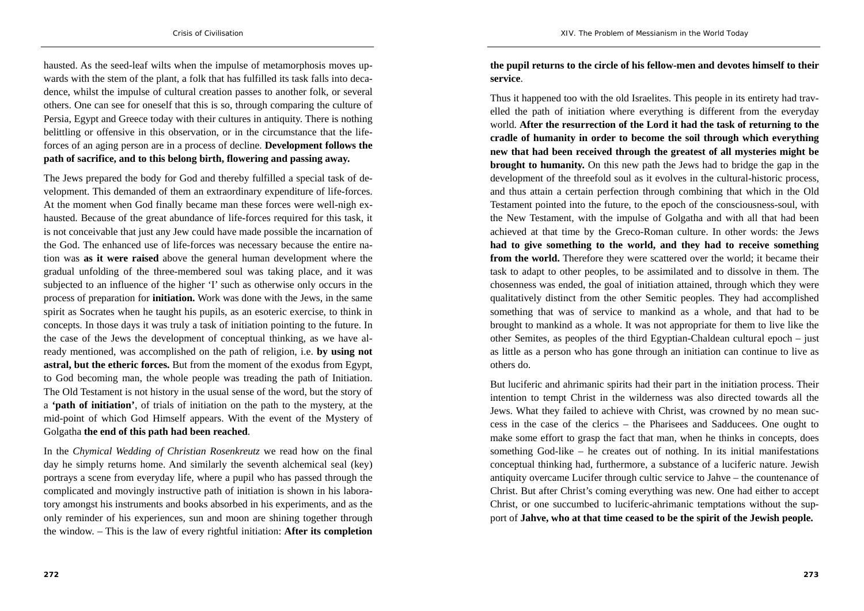hausted. As the seed-leaf wilts when the impulse of metamorphosis moves upwards with the stem of the plant, a folk that has fulfilled its task falls into decadence, whilst the impulse of cultural creation passes to another folk, or several others. One can see for oneself that this is so, through comparing the culture of Persia, Egypt and Greece today with their cultures in antiquity. There is nothing belittling or offensive in this observation, or in the circumstance that the lifeforces of an aging person are in a process of decline. **Development follows the path of sacrifice, and to this belong birth, flowering and passing away.**

The Jews prepared the body for God and thereby fulfilled a special task of development. This demanded of them an extraordinary expenditure of life-forces. At the moment when God finally became man these forces were well-nigh exhausted. Because of the great abundance of life-forces required for this task, it is not conceivable that just any Jew could have made possible the incarnation of the God. The enhanced use of life-forces was necessary because the entire nation was **as it were raised** above the general human development where the gradual unfolding of the three-membered soul was taking place, and it was subjected to an influence of the higher 'I' such as otherwise only occurs in the process of preparation for **initiation.** Work was done with the Jews, in the same spirit as Socrates when he taught his pupils, as an esoteric exercise, to think in concepts. In those days it was truly a task of initiation pointing to the future. In the case of the Jews the development of conceptual thinking, as we have already mentioned, was accomplished on the path of religion, i.e. **by using not astral, but the etheric forces.** But from the moment of the exodus from Egypt, to God becoming man, the whole people was treading the path of Initiation. The Old Testament is not history in the usual sense of the word, but the story of <sup>a</sup>**'path of initiation'**, of trials of initiation on the path to the mystery, at the mid-point of which God Himself appears. With the event of the Mystery of Golgatha **the end of this path had been reached**.

In the *Chymical Wedding of Christian Rosenkreutz* we read how on the final day he simply returns home. And similarly the seventh alchemical seal (key) portrays a scene from everyday life, where a pupil who has passed through the complicated and movingly instructive path of initiation is shown in his laboratory amongst his instruments and books absorbed in his experiments, and as the only reminder of his experiences, sun and moon are shining together through the window. – This is the law of every rightful initiation: **After its completion** 

**the pupil returns to the circle of his fellow-men and devotes himself to their service**.

Thus it happened too with the old Israelites. This people in its entirety had travelled the path of initiation where everything is different from the everyday world. **After the resurrection of the Lord it had the task of returning to the cradle of humanity in order to become the soil through which everything new that had been received through the greatest of all mysteries might be brought to humanity.** On this new path the Jews had to bridge the gap in the development of the threefold soul as it evolves in the cultural-historic process, and thus attain a certain perfection through combining that which in the Old Testament pointed into the future, to the epoch of the consciousness-soul, with the New Testament, with the impulse of Golgatha and with all that had been achieved at that time by the Greco-Roman culture. In other words: the Jews **had to give something to the world, and they had to receive something from the world.** Therefore they were scattered over the world; it became their task to adapt to other peoples, to be assimilated and to dissolve in them. The chosenness was ended, the goal of initiation attained, through which they were qualitatively distinct from the other Semitic peoples. They had accomplished something that was of service to mankind as a whole, and that had to be brought to mankind as a whole. It was not appropriate for them to live like the other Semites, as peoples of the third Egyptian-Chaldean cultural epoch – just as little as a person who has gone through an initiation can continue to live as others do.

But luciferic and ahrimanic spirits had their part in the initiation process. Their intention to tempt Christ in the wilderness was also directed towards all the Jews. What they failed to achieve with Christ, was crowned by no mean success in the case of the clerics – the Pharisees and Sadducees. One ought to make some effort to grasp the fact that man, when he thinks in concepts, does something God-like – he creates out of nothing. In its initial manifestations conceptual thinking had, furthermore, a substance of a luciferic nature. Jewish antiquity overcame Lucifer through cultic service to Jahve – the countenance of Christ. But after Christ's coming everything was new. One had either to accept Christ, or one succumbed to luciferic-ahrimanic temptations without the support of **Jahve, who at that time ceased to be the spirit of the Jewish people.**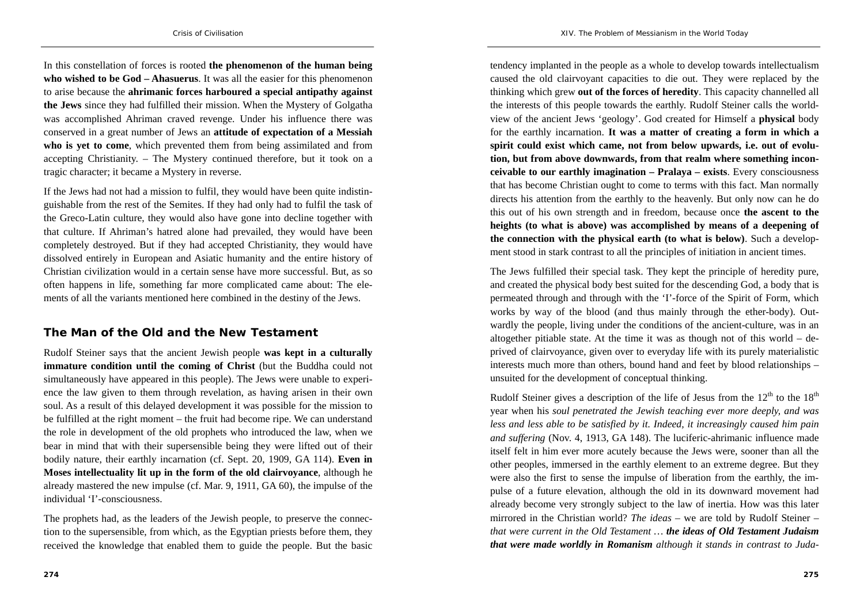In this constellation of forces is rooted **the phenomenon of the human being who wished to be God – Ahasuerus**. It was all the easier for this phenomenon to arise because the **ahrimanic forces harboured a special antipathy against the Jews** since they had fulfilled their mission. When the Mystery of Golgatha was accomplished Ahriman craved revenge. Under his influence there was conserved in a great number of Jews an **attitude of expectation of a Messiah who is yet to come**, which prevented them from being assimilated and from accepting Christianity. – The Mystery continued therefore, but it took on a tragic character; it became a Mystery in reverse.

If the Jews had not had a mission to fulfil, they would have been quite indistinguishable from the rest of the Semites. If they had only had to fulfil the task of the Greco-Latin culture, they would also have gone into decline together with that culture. If Ahriman's hatred alone had prevailed, they would have been completely destroyed. But if they had accepted Christianity, they would have dissolved entirely in European and Asiatic humanity and the entire history of Christian civilization would in a certain sense have more successful. But, as so often happens in life, something far more complicated came about: The elements of all the variants mentioned here combined in the destiny of the Jews.

#### **The Man of the Old and the New Testament**

Rudolf Steiner says that the ancient Jewish people **was kept in a culturally immature condition until the coming of Christ** (but the Buddha could not simultaneously have appeared in this people). The Jews were unable to experience the law given to them through revelation, as having arisen in their own soul. As a result of this delayed development it was possible for the mission to be fulfilled at the right moment – the fruit had become ripe. We can understand the role in development of the old prophets who introduced the law, when we bear in mind that with their supersensible being they were lifted out of their bodily nature, their earthly incarnation (cf. Sept. 20, 1909, GA 114). **Even in Moses intellectuality lit up in the form of the old clairvoyance**, although he already mastered the new impulse (cf. Mar. 9, 1911, GA 60), the impulse of the individual 'I'-consciousness.

The prophets had, as the leaders of the Jewish people, to preserve the connection to the supersensible, from which, as the Egyptian priests before them, they received the knowledge that enabled them to guide the people. But the basic

tendency implanted in the people as a whole to develop towards intellectualism caused the old clairvoyant capacities to die out. They were replaced by the thinking which grew **out of the forces of heredity**. This capacity channelled all the interests of this people towards the earthly. Rudolf Steiner calls the worldview of the ancient Jews 'geology'. God created for Himself a **physical** body for the earthly incarnation. **It was a matter of creating a form in which a**  spirit could exist which came, not from below upwards, i.e. out of evolu**tion, but from above downwards, from that realm where something inconceivable to our earthly imagination – Pralaya – exists**. Every consciousness that has become Christian ought to come to terms with this fact. Man normally directs his attention from the earthly to the heavenly. But only now can he do this out of his own strength and in freedom, because once **the ascent to the heights (to what is above) was accomplished by means of a deepening of the connection with the physical earth (to what is below)**. Such a development stood in stark contrast to all the principles of initiation in ancient times.

The Jews fulfilled their special task. They kept the principle of heredity pure, and created the physical body best suited for the descending God, a body that is permeated through and through with the 'I'-force of the Spirit of Form, which works by way of the blood (and thus mainly through the ether-body). Outwardly the people, living under the conditions of the ancient-culture, was in an altogether pitiable state. At the time it was as though not of this world  $-$  deprived of clairvoyance, given over to everyday life with its purely materialistic interests much more than others, bound hand and feet by blood relationships – unsuited for the development of conceptual thinking.

Rudolf Steiner gives a description of the life of Jesus from the  $12<sup>th</sup>$  to the  $18<sup>th</sup>$ year when his *soul penetrated the Jewish teaching ever more deeply, and was less and less able to be satisfied by it. Indeed, it increasingly caused him pain and suffering* (Nov. 4, 1913, GA 148). The luciferic-ahrimanic influence made itself felt in him ever more acutely because the Jews were, sooner than all the other peoples, immersed in the earthly element to an extreme degree. But they were also the first to sense the impulse of liberation from the earthly, the impulse of a future elevation, although the old in its downward movement had already become very strongly subject to the law of inertia. How was this later mirrored in the Christian world? *The ideas –* we are told by Rudolf Steiner – *that were current in the Old Testament … the ideas of Old Testament Judaism that were made worldly in Romanism although it stands in contrast to Juda-*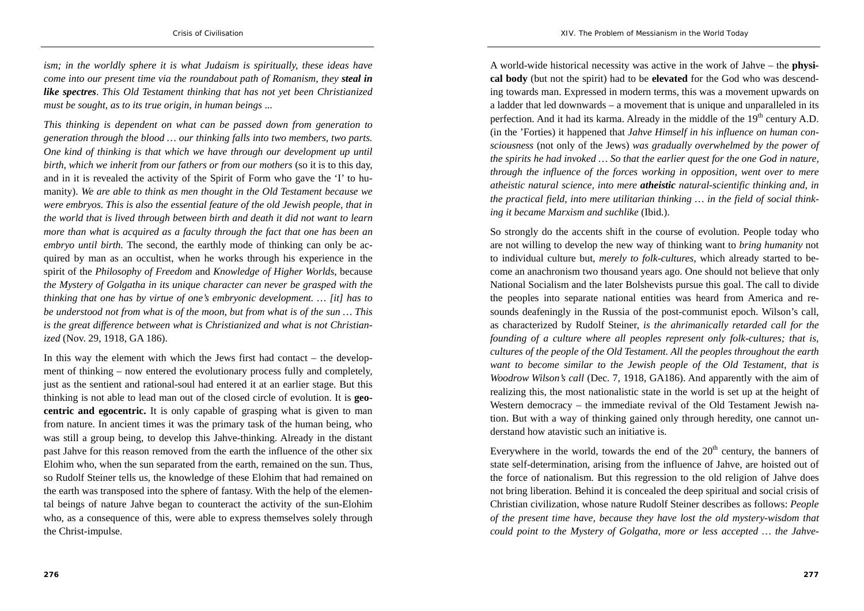*ism; in the worldly sphere it is what Judaism is spiritually, these ideas have come into our present time via the roundabout path of Romanism, they steal in like spectres*. *This Old Testament thinking that has not yet been Christianized must be sought, as to its true origin, in human beings* ...

*This thinking is dependent on what can be passed down from generation to generation through the blood … our thinking falls into two members, two parts. One kind of thinking is that which we have through our development up until birth, which we inherit from our fathers or from our mothers* (so it is to this day, and in it is revealed the activity of the Spirit of Form who gave the 'I' to humanity). *We are able to think as men thought in the Old Testament because we were embryos. This is also the essential feature of the old Jewish people, that in the world that is lived through between birth and death it did not want to learn more than what is acquired as a faculty through the fact that one has been an embryo until birth.* The second, the earthly mode of thinking can only be acquired by man as an occultist, when he works through his experience in the spirit of the *Philosophy of Freedom* and *Knowledge of Higher Worlds*, because *the Mystery of Golgatha in its unique character can never be grasped with the thinking that one has by virtue of one's embryonic development. … [it] has to be understood not from what is of the moon, but from what is of the sun … This is the great difference between what is Christianized and what is not Christianized* (Nov. 29, 1918, GA 186).

In this way the element with which the Jews first had contact – the development of thinking – now entered the evolutionary process fully and completely, just as the sentient and rational-soul had entered it at an earlier stage. But this thinking is not able to lead man out of the closed circle of evolution. It is **geocentric and egocentric.** It is only capable of grasping what is given to man from nature. In ancient times it was the primary task of the human being, who was still a group being, to develop this Jahve-thinking. Already in the distant past Jahve for this reason removed from the earth the influence of the other six Elohim who, when the sun separated from the earth, remained on the sun. Thus, so Rudolf Steiner tells us, the knowledge of these Elohim that had remained on the earth was transposed into the sphere of fantasy. With the help of the elemental beings of nature Jahve began to counteract the activity of the sun-Elohim who, as a consequence of this, were able to express themselves solely through the Christ-impulse.

A world-wide historical necessity was active in the work of Jahve – the **physical body** (but not the spirit) had to be **elevated** for the God who was descending towards man. Expressed in modern terms, this was a movement upwards on a ladder that led downwards – a movement that is unique and unparalleled in its perfection. And it had its karma. Already in the middle of the  $19<sup>th</sup>$  century A.D. (in the 'Forties) it happened that *Jahve Himself in his influence on human consciousness* (not only of the Jews) *was gradually overwhelmed by the power of the spirits he had invoked … So that the earlier quest for the one God in nature, through the influence of the forces working in opposition, went over to mere atheistic natural science, into mere atheistic natural-scientific thinking and, in the practical field, into mere utilitarian thinking … in the field of social thinking it became Marxism and suchlike* (Ibid.).

So strongly do the accents shift in the course of evolution. People today who are not willing to develop the new way of thinking want to *bring humanity* not to individual culture but, *merely to folk-cultures*, which already started to become an anachronism two thousand years ago. One should not believe that only National Socialism and the later Bolshevists pursue this goal. The call to divide the peoples into separate national entities was heard from America and resounds deafeningly in the Russia of the post-communist epoch. Wilson's call, as characterized by Rudolf Steiner, *is the ahrimanically retarded call for the founding of a culture where all peoples represent only folk-cultures; that is, cultures of the people of the Old Testament. All the peoples throughout the earth want to become similar to the Jewish people of the Old Testament, that is Woodrow Wilson's call* (Dec. 7, 1918, GA186). And apparently with the aim of realizing this, the most nationalistic state in the world is set up at the height of Western democracy – the immediate revival of the Old Testament Jewish nation. But with a way of thinking gained only through heredity, one cannot understand how atavistic such an initiative is.

Everywhere in the world, towards the end of the  $20<sup>th</sup>$  century, the banners of state self-determination, arising from the influence of Jahve, are hoisted out of the force of nationalism. But this regression to the old religion of Jahve does not bring liberation. Behind it is concealed the deep spiritual and social crisis of Christian civilization, whose nature Rudolf Steiner describes as follows: *People of the present time have, because they have lost the old mystery-wisdom that could point to the Mystery of Golgatha, more or less accepted … the Jahve-*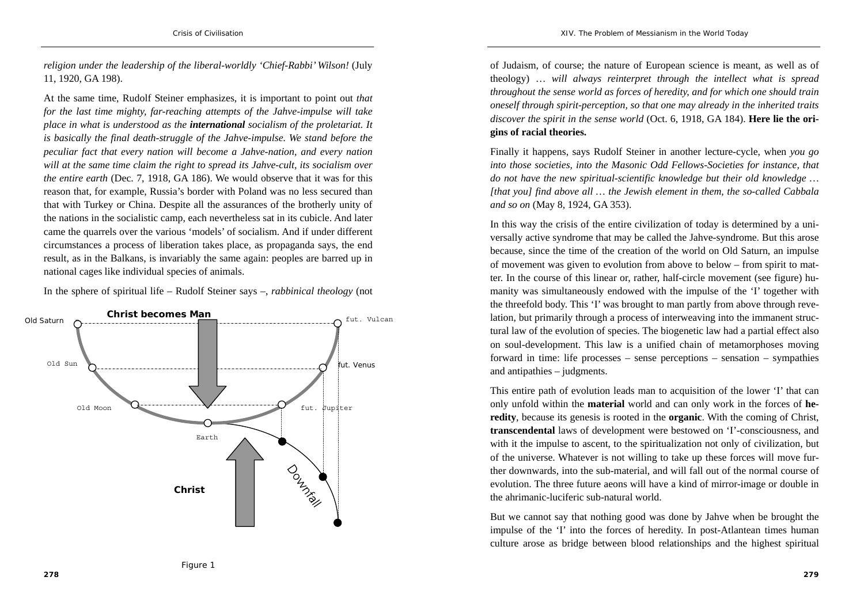*religion under the leadership of the liberal-worldly 'Chief-Rabbi' Wilson!* (July 11, 1920, GA 198).

At the same time, Rudolf Steiner emphasizes, it is important to point out *that for the last time mighty, far-reaching attempts of the Jahve-impulse will take place in what is understood as the international socialism of the proletariat. It is basically the final death-struggle of the Jahve-impulse. We stand before the peculiar fact that every nation will become a Jahve-nation, and every nation will at the same time claim the right to spread its Jahve-cult, its socialism over the entire earth* (Dec. 7, 1918, GA 186). We would observe that it was for this reason that, for example, Russia's border with Poland was no less secured than that with Turkey or China. Despite all the assurances of the brotherly unity of the nations in the socialistic camp, each nevertheless sat in its cubicle. And later came the quarrels over the various 'models' of socialism. And if under different circumstances a process of liberation takes place, as propaganda says, the end result, as in the Balkans, is invariably the same again: peoples are barred up in national cages like individual species of animals.

In the sphere of spiritual life – Rudolf Steiner says –, *rabbinical theology* (not



of Judaism, of course; the nature of European science is meant, as well as of theology) … *will always reinterpret through the intellect what is spread throughout the sense world as forces of heredity, and for which one should train oneself through spirit-perception, so that one may already in the inherited traits discover the spirit in the sense world* (Oct. 6, 1918, GA 184). **Here lie the origins of racial theories.** 

Finally it happens, says Rudolf Steiner in another lecture-cycle, when *you go into those societies, into the Masonic Odd Fellows-Societies for instance, that do not have the new spiritual-scientific knowledge but their old knowledge … [that you] find above all … the Jewish element in them, the so-called Cabbala and so on* (May 8, 1924, GA 353).

In this way the crisis of the entire civilization of today is determined by a universally active syndrome that may be called the Jahve-syndrome. But this arose because, since the time of the creation of the world on Old Saturn, an impulse of movement was given to evolution from above to below – from spirit to matter. In the course of this linear or, rather, half-circle movement (see figure) humanity was simultaneously endowed with the impulse of the 'I' together with the threefold body. This 'I' was brought to man partly from above through revelation, but primarily through a process of interweaving into the immanent structural law of the evolution of species. The biogenetic law had a partial effect also on soul-development. This law is a unified chain of metamorphoses moving forward in time: life processes – sense perceptions – sensation – sympathies and antipathies – judgments.

This entire path of evolution leads man to acquisition of the lower 'I' that can only unfold within the **material** world and can only work in the forces of **heredity**, because its genesis is rooted in the **organic**. With the coming of Christ, **transcendental** laws of development were bestowed on 'I'-consciousness, and with it the impulse to ascent, to the spiritualization not only of civilization, but of the universe. Whatever is not willing to take up these forces will move further downwards, into the sub-material, and will fall out of the normal course of evolution. The three future aeons will have a kind of mirror-image or double in the ahrimanic-luciferic sub-natural world.

But we cannot say that nothing good was done by Jahve when be brought the impulse of the 'I' into the forces of heredity. In post-Atlantean times human culture arose as bridge between blood relationships and the highest spiritual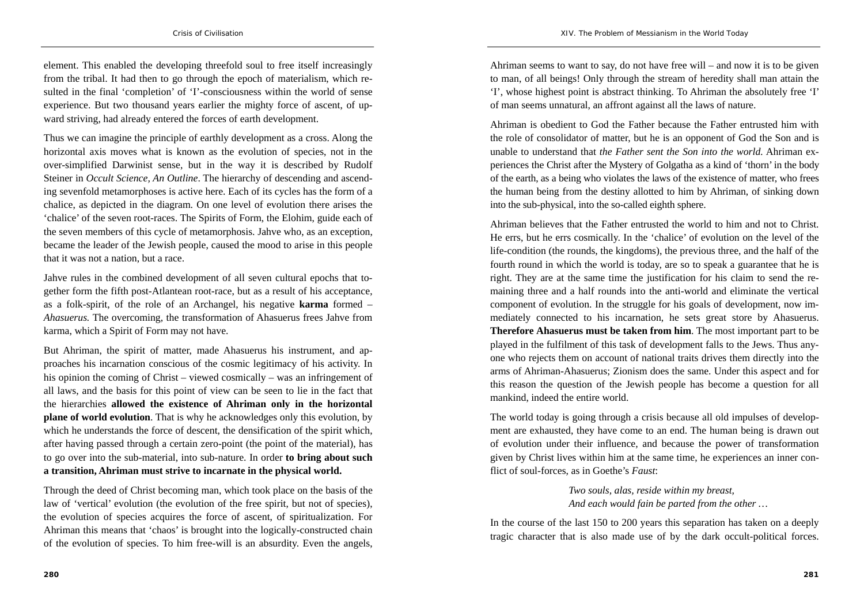element. This enabled the developing threefold soul to free itself increasingly from the tribal. It had then to go through the epoch of materialism, which resulted in the final 'completion' of 'I'-consciousness within the world of sense experience. But two thousand years earlier the mighty force of ascent, of upward striving, had already entered the forces of earth development.

Thus we can imagine the principle of earthly development as a cross. Along the horizontal axis moves what is known as the evolution of species, not in the over-simplified Darwinist sense, but in the way it is described by Rudolf Steiner in *Occult Science, An Outline*. The hierarchy of descending and ascending sevenfold metamorphoses is active here. Each of its cycles has the form of a chalice, as depicted in the diagram. On one level of evolution there arises the 'chalice' of the seven root-races. The Spirits of Form, the Elohim, guide each of the seven members of this cycle of metamorphosis. Jahve who, as an exception, became the leader of the Jewish people, caused the mood to arise in this people that it was not a nation, but a race.

Jahve rules in the combined development of all seven cultural epochs that together form the fifth post-Atlantean root-race, but as a result of his acceptance, as a folk-spirit, of the role of an Archangel, his negative **karma** formed – *Ahasuerus.* The overcoming, the transformation of Ahasuerus frees Jahve from karma, which a Spirit of Form may not have.

But Ahriman, the spirit of matter, made Ahasuerus his instrument, and approaches his incarnation conscious of the cosmic legitimacy of his activity. In his opinion the coming of Christ – viewed cosmically – was an infringement of all laws, and the basis for this point of view can be seen to lie in the fact that the hierarchies **allowed the existence of Ahriman only in the horizontal plane of world evolution**. That is why he acknowledges only this evolution, by which he understands the force of descent, the densification of the spirit which, after having passed through a certain zero-point (the point of the material), has to go over into the sub-material, into sub-nature. In order **to bring about such a transition, Ahriman must strive to incarnate in the physical world.**

Through the deed of Christ becoming man, which took place on the basis of the law of 'vertical' evolution (the evolution of the free spirit, but not of species), the evolution of species acquires the force of ascent, of spiritualization. For Ahriman this means that 'chaos' is brought into the logically-constructed chain of the evolution of species. To him free-will is an absurdity. Even the angels,

Ahriman seems to want to say, do not have free will – and now it is to be given to man, of all beings! Only through the stream of heredity shall man attain the 'I', whose highest point is abstract thinking. To Ahriman the absolutely free 'I' of man seems unnatural, an affront against all the laws of nature.

Ahriman is obedient to God the Father because the Father entrusted him with the role of consolidator of matter, but he is an opponent of God the Son and is unable to understand that *the Father sent the Son into the world.* Ahriman experiences the Christ after the Mystery of Golgatha as a kind of 'thorn' in the body of the earth, as a being who violates the laws of the existence of matter, who frees the human being from the destiny allotted to him by Ahriman, of sinking down into the sub-physical, into the so-called eighth sphere.

Ahriman believes that the Father entrusted the world to him and not to Christ. He errs, but he errs cosmically. In the 'chalice' of evolution on the level of the life-condition (the rounds, the kingdoms), the previous three, and the half of the fourth round in which the world is today, are so to speak a guarantee that he is right. They are at the same time the justification for his claim to send the remaining three and a half rounds into the anti-world and eliminate the vertical component of evolution. In the struggle for his goals of development, now immediately connected to his incarnation, he sets great store by Ahasuerus. **Therefore Ahasuerus must be taken from him**. The most important part to be played in the fulfilment of this task of development falls to the Jews. Thus anyone who rejects them on account of national traits drives them directly into the arms of Ahriman-Ahasuerus; Zionism does the same. Under this aspect and for this reason the question of the Jewish people has become a question for all mankind, indeed the entire world.

The world today is going through a crisis because all old impulses of development are exhausted, they have come to an end. The human being is drawn out of evolution under their influence, and because the power of transformation given by Christ lives within him at the same time, he experiences an inner conflict of soul-forces, as in Goethe's *Faust*:

> *Two souls, alas, reside within my breast, And each would fain be parted from the other …*

In the course of the last 150 to 200 years this separation has taken on a deeply tragic character that is also made use of by the dark occult-political forces.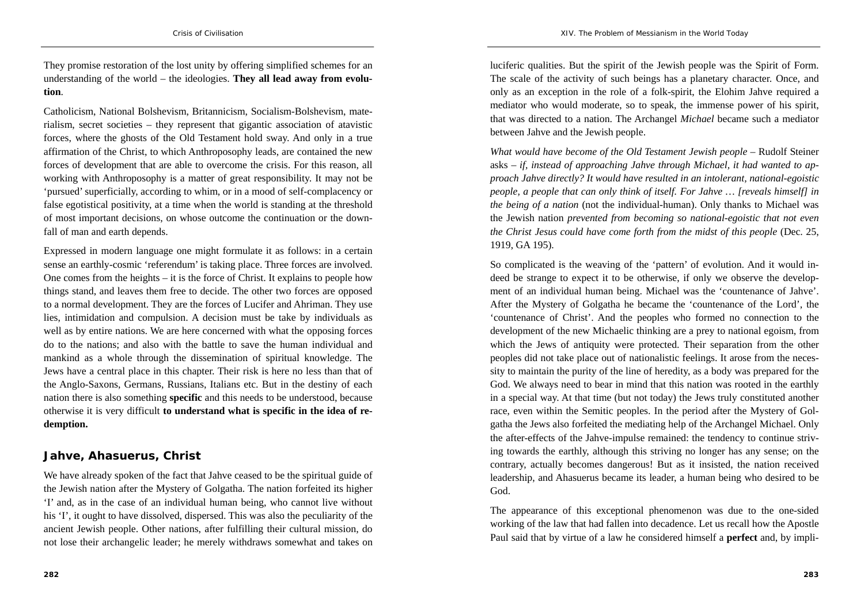They promise restoration of the lost unity by offering simplified schemes for an understanding of the world – the ideologies. **They all lead away from evolution**.

Catholicism, National Bolshevism, Britannicism, Socialism-Bolshevism, materialism, secret societies – they represent that gigantic association of atavistic forces, where the ghosts of the Old Testament hold sway. And only in a true affirmation of the Christ, to which Anthroposophy leads, are contained the new forces of development that are able to overcome the crisis. For this reason, all working with Anthroposophy is a matter of great responsibility. It may not be 'pursued' superficially, according to whim, or in a mood of self-complacency or false egotistical positivity, at a time when the world is standing at the threshold of most important decisions, on whose outcome the continuation or the downfall of man and earth depends.

Expressed in modern language one might formulate it as follows: in a certain sense an earthly-cosmic 'referendum' is taking place. Three forces are involved. One comes from the heights – it is the force of Christ. It explains to people how things stand, and leaves them free to decide. The other two forces are opposed to a normal development. They are the forces of Lucifer and Ahriman. They use lies, intimidation and compulsion. A decision must be take by individuals as well as by entire nations. We are here concerned with what the opposing forces do to the nations; and also with the battle to save the human individual and mankind as a whole through the dissemination of spiritual knowledge. The Jews have a central place in this chapter. Their risk is here no less than that of the Anglo-Saxons, Germans, Russians, Italians etc. But in the destiny of each nation there is also something **specific** and this needs to be understood, because otherwise it is very difficult **to understand what is specific in the idea of redemption.** 

### **Jahve, Ahasuerus, Christ**

We have already spoken of the fact that Jahve ceased to be the spiritual guide of the Jewish nation after the Mystery of Golgatha. The nation forfeited its higher 'I' and, as in the case of an individual human being, who cannot live without his 'I', it ought to have dissolved, dispersed. This was also the peculiarity of the ancient Jewish people. Other nations, after fulfilling their cultural mission, do not lose their archangelic leader; he merely withdraws somewhat and takes on

luciferic qualities. But the spirit of the Jewish people was the Spirit of Form. The scale of the activity of such beings has a planetary character. Once, and only as an exception in the role of a folk-spirit, the Elohim Jahve required a mediator who would moderate, so to speak, the immense power of his spirit, that was directed to a nation. The Archangel *Michael* became such a mediator between Jahve and the Jewish people.

*What would have become of the Old Testament Jewish people –* Rudolf Steiner asks – *if, instead of approaching Jahve through Michael, it had wanted to approach Jahve directly? It would have resulted in an intolerant, national-egoistic people, a people that can only think of itself. For Jahve … [reveals himself] in the being of a nation* (not the individual-human). Only thanks to Michael was the Jewish nation *prevented from becoming so national-egoistic that not even the Christ Jesus could have come forth from the midst of this people* (Dec. 25, 1919, GA 195).

So complicated is the weaving of the 'pattern' of evolution. And it would indeed be strange to expect it to be otherwise, if only we observe the development of an individual human being. Michael was the 'countenance of Jahve'. After the Mystery of Golgatha he became the 'countenance of the Lord', the 'countenance of Christ'. And the peoples who formed no connection to the development of the new Michaelic thinking are a prey to national egoism, from which the Jews of antiquity were protected. Their separation from the other peoples did not take place out of nationalistic feelings. It arose from the necessity to maintain the purity of the line of heredity, as a body was prepared for the God. We always need to bear in mind that this nation was rooted in the earthly in a special way. At that time (but not today) the Jews truly constituted another race, even within the Semitic peoples. In the period after the Mystery of Golgatha the Jews also forfeited the mediating help of the Archangel Michael. Only the after-effects of the Jahve-impulse remained: the tendency to continue striving towards the earthly, although this striving no longer has any sense; on the contrary, actually becomes dangerous! But as it insisted, the nation received leadership, and Ahasuerus became its leader, a human being who desired to be God.

The appearance of this exceptional phenomenon was due to the one-sided working of the law that had fallen into decadence. Let us recall how the Apostle Paul said that by virtue of a law he considered himself a **perfect** and, by impli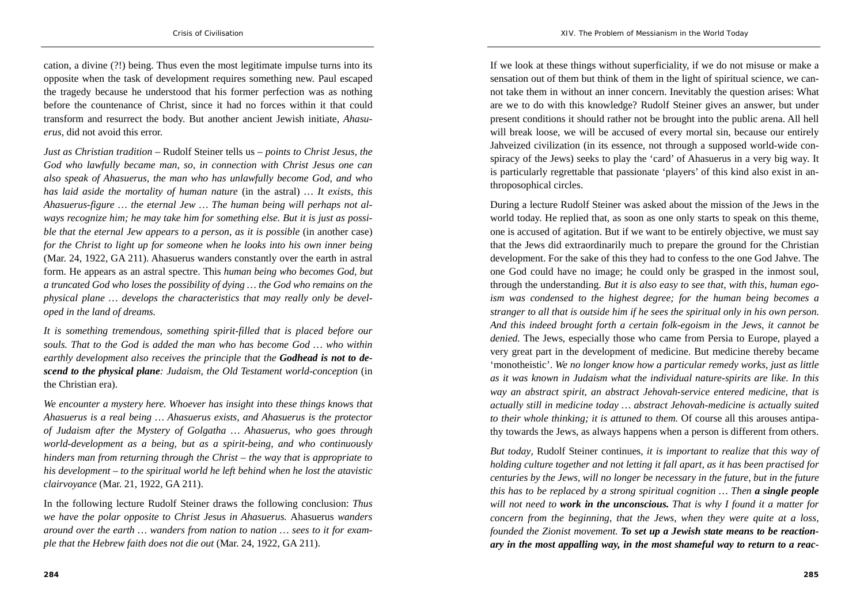cation, a divine (?!) being. Thus even the most legitimate impulse turns into its opposite when the task of development requires something new. Paul escaped the tragedy because he understood that his former perfection was as nothing before the countenance of Christ, since it had no forces within it that could transform and resurrect the body. But another ancient Jewish initiate, *Ahasuerus*, did not avoid this error.

*Just as Christian tradition –* Rudolf Steiner tells us – *points to Christ Jesus, the God who lawfully became man, so, in connection with Christ Jesus one can also speak of Ahasuerus, the man who has unlawfully become God, and who has laid aside the mortality of human nature* (in the astral) *… It exists, this Ahasuerus-figure … the eternal Jew … The human being will perhaps not always recognize him; he may take him for something else. But it is just as possible that the eternal Jew appears to a person, as it is possible (in another case) for the Christ to light up for someone when he looks into his own inner being*  (Mar. 24, 1922, GA 211). Ahasuerus wanders constantly over the earth in astral form. He appears as an astral spectre. This *human being who becomes God, but a truncated God who loses the possibility of dying … the God who remains on the physical plane … develops the characteristics that may really only be developed in the land of dreams.* 

*It is something tremendous, something spirit-filled that is placed before our souls. That to the God is added the man who has become God … who within earthly development also receives the principle that the Godhead is not to descend to the physical plane: Judaism, the Old Testament world-conception* (in the Christian era).

*We encounter a mystery here. Whoever has insight into these things knows that Ahasuerus is a real being … Ahasuerus exists, and Ahasuerus is the protector of Judaism after the Mystery of Golgatha … Ahasuerus, who goes through world-development as a being, but as a spirit-being, and who continuously hinders man from returning through the Christ – the way that is appropriate to his development – to the spiritual world he left behind when he lost the atavistic clairvoyance* (Mar. 21, 1922, GA 211).

In the following lecture Rudolf Steiner draws the following conclusion: *Thus we have the polar opposite to Christ Jesus in Ahasuerus.* Ahasuerus *wanders around over the earth … wanders from nation to nation … sees to it for example that the Hebrew faith does not die out* (Mar. 24, 1922, GA 211).

If we look at these things without superficiality, if we do not misuse or make a sensation out of them but think of them in the light of spiritual science, we cannot take them in without an inner concern. Inevitably the question arises: What are we to do with this knowledge? Rudolf Steiner gives an answer, but under present conditions it should rather not be brought into the public arena. All hell will break loose, we will be accused of every mortal sin, because our entirely Jahveized civilization (in its essence, not through a supposed world-wide conspiracy of the Jews) seeks to play the 'card' of Ahasuerus in a very big way. It is particularly regrettable that passionate 'players' of this kind also exist in anthroposophical circles.

During a lecture Rudolf Steiner was asked about the mission of the Jews in the world today. He replied that, as soon as one only starts to speak on this theme, one is accused of agitation. But if we want to be entirely objective, we must say that the Jews did extraordinarily much to prepare the ground for the Christian development. For the sake of this they had to confess to the one God Jahve. The one God could have no image; he could only be grasped in the inmost soul, through the understanding. *But it is also easy to see that, with this, human egoism was condensed to the highest degree; for the human being becomes a stranger to all that is outside him if he sees the spiritual only in his own person. And this indeed brought forth a certain folk-egoism in the Jews, it cannot be denied.* The Jews, especially those who came from Persia to Europe, played a very great part in the development of medicine. But medicine thereby became 'monotheistic'. *We no longer know how a particular remedy works, just as little as it was known in Judaism what the individual nature-spirits are like. In this way an abstract spirit, an abstract Jehovah-service entered medicine, that is actually still in medicine today … abstract Jehovah-medicine is actually suited to their whole thinking; it is attuned to them.* Of course all this arouses antipathy towards the Jews, as always happens when a person is different from others.

*But today*, Rudolf Steiner continues, *it is important to realize that this way of holding culture together and not letting it fall apart, as it has been practised for centuries by the Jews, will no longer be necessary in the future, but in the future this has to be replaced by a strong spiritual cognition … Then a single people will not need to work in the unconscious. That is why I found it a matter for concern from the beginning, that the Jews, when they were quite at a loss, founded the Zionist movement. To set up a Jewish state means to be reactionary in the most appalling way, in the most shameful way to return to a reac-*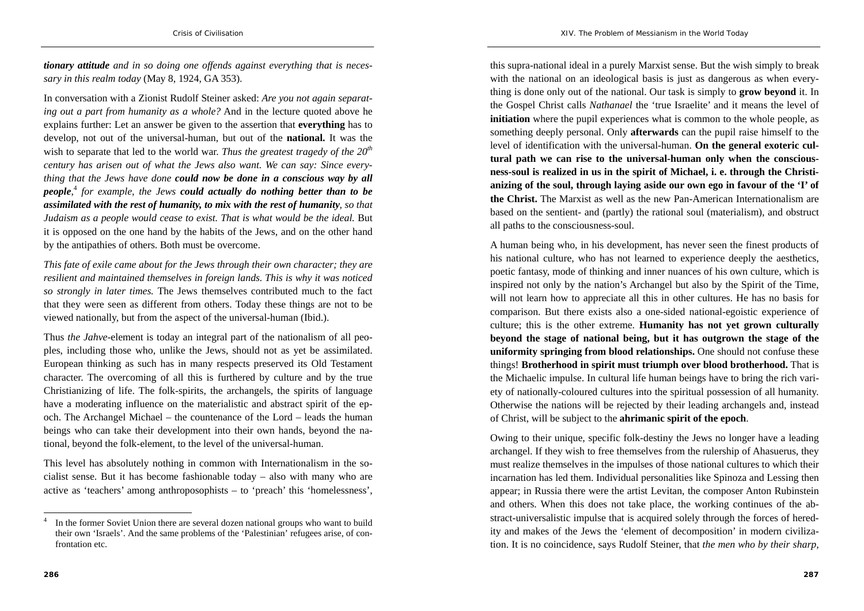*tionary attitude and in so doing one offends against everything that is necessary in this realm today* (May 8, 1924, GA 353).

In conversation with a Zionist Rudolf Steiner asked: *Are you not again separating out a part from humanity as a whole?* And in the lecture quoted above he explains further: Let an answer be given to the assertion that **everything** has to develop, not out of the universal-human, but out of the **national.** It was the wish to separate that led to the world war. *Thus the greatest tragedy of the*  $20<sup>th</sup>$ *century has arisen out of what the Jews also want. We can say: Since everything that the Jews have done could now be done in a conscious way by all people*, <sup>4</sup> *for example, the Jews could actually do nothing better than to be assimilated with the rest of humanity, to mix with the rest of humanity, so that Judaism as a people would cease to exist. That is what would be the ideal.* But it is opposed on the one hand by the habits of the Jews, and on the other hand by the antipathies of others. Both must be overcome.

*This fate of exile came about for the Jews through their own character; they are resilient and maintained themselves in foreign lands. This is why it was noticed so strongly in later times.* The Jews themselves contributed much to the fact that they were seen as different from others. Today these things are not to be viewed nationally, but from the aspect of the universal-human (Ibid.).

Thus *the Jahve-*element is today an integral part of the nationalism of all peoples, including those who, unlike the Jews, should not as yet be assimilated. European thinking as such has in many respects preserved its Old Testament character. The overcoming of all this is furthered by culture and by the true Christianizing of life. The folk-spirits, the archangels, the spirits of language have a moderating influence on the materialistic and abstract spirit of the epoch. The Archangel Michael – the countenance of the Lord – leads the human beings who can take their development into their own hands, beyond the national, beyond the folk-element, to the level of the universal-human.

This level has absolutely nothing in common with Internationalism in the socialist sense. But it has become fashionable today – also with many who are active as 'teachers' among anthroposophists – to 'preach' this 'homelessness',

this supra-national ideal in a purely Marxist sense. But the wish simply to break with the national on an ideological basis is just as dangerous as when everything is done only out of the national. Our task is simply to **grow beyond** it. In the Gospel Christ calls *Nathanael* the 'true Israelite' and it means the level of **initiation** where the pupil experiences what is common to the whole people, as something deeply personal. Only **afterwards** can the pupil raise himself to the level of identification with the universal-human. **On the general exoteric cultural path we can rise to the universal-human only when the consciousness-soul is realized in us in the spirit of Michael, i. e. through the Christianizing of the soul, through laying aside our own ego in favour of the 'I' of the Christ.** The Marxist as well as the new Pan-American Internationalism are based on the sentient- and (partly) the rational soul (materialism), and obstruct all paths to the consciousness-soul.

A human being who, in his development, has never seen the finest products of his national culture, who has not learned to experience deeply the aesthetics, poetic fantasy, mode of thinking and inner nuances of his own culture, which is inspired not only by the nation's Archangel but also by the Spirit of the Time, will not learn how to appreciate all this in other cultures. He has no basis for comparison. But there exists also a one-sided national-egoistic experience of culture; this is the other extreme. **Humanity has not yet grown culturally beyond the stage of national being, but it has outgrown the stage of the uniformity springing from blood relationships.** One should not confuse these things! **Brotherhood in spirit must triumph over blood brotherhood.** That is the Michaelic impulse. In cultural life human beings have to bring the rich variety of nationally-coloured cultures into the spiritual possession of all humanity. Otherwise the nations will be rejected by their leading archangels and, instead of Christ, will be subject to the **ahrimanic spirit of the epoch**.

Owing to their unique, specific folk-destiny the Jews no longer have a leading archangel. If they wish to free themselves from the rulership of Ahasuerus, they must realize themselves in the impulses of those national cultures to which their incarnation has led them. Individual personalities like Spinoza and Lessing then appear; in Russia there were the artist Levitan, the composer Anton Rubinstein and others. When this does not take place, the working continues of the abstract-universalistic impulse that is acquired solely through the forces of heredity and makes of the Jews the 'element of decomposition' in modern civilization. It is no coincidence, says Rudolf Steiner, that *the men who by their sharp,* 

In the former Soviet Union there are several dozen national groups who want to build their own 'Israels'. And the same problems of the 'Palestinian' refugees arise, of confrontation etc.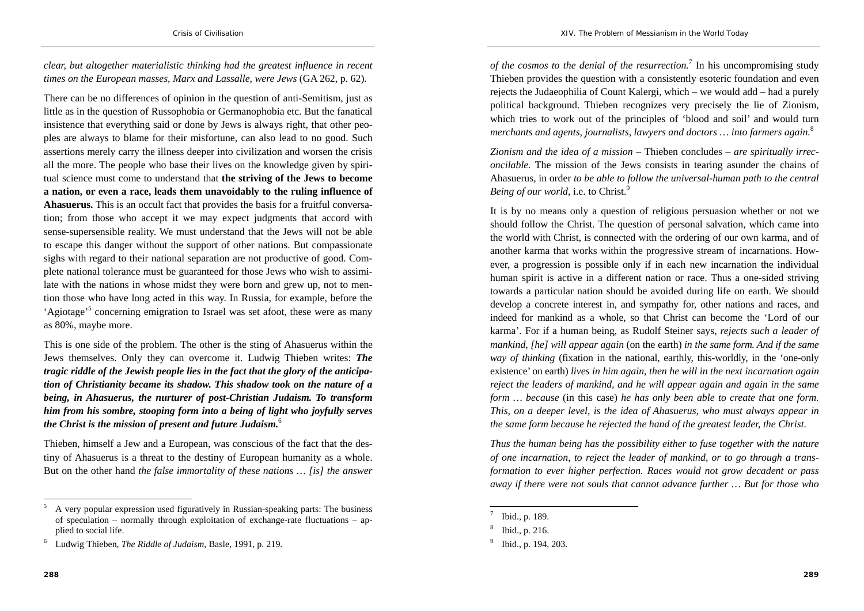*clear, but altogether materialistic thinking had the greatest influence in recent times on the European masses, Marx and Lassalle, were Jews* (GA 262, p. 62).

There can be no differences of opinion in the question of anti-Semitism, just as little as in the question of Russophobia or Germanophobia etc. But the fanatical insistence that everything said or done by Jews is always right, that other peoples are always to blame for their misfortune, can also lead to no good. Such assertions merely carry the illness deeper into civilization and worsen the crisis all the more. The people who base their lives on the knowledge given by spiritual science must come to understand that **the striving of the Jews to become a nation, or even a race, leads them unavoidably to the ruling influence of Ahasuerus.** This is an occult fact that provides the basis for a fruitful conversation; from those who accept it we may expect judgments that accord with sense-supersensible reality. We must understand that the Jews will not be able to escape this danger without the support of other nations. But compassionate sighs with regard to their national separation are not productive of good. Complete national tolerance must be guaranteed for those Jews who wish to assimilate with the nations in whose midst they were born and grew up, not to mention those who have long acted in this way. In Russia, for example, before the 'Agiotage'5 concerning emigration to Israel was set afoot, these were as many as 80%, maybe more.

This is one side of the problem. The other is the sting of Ahasuerus within the Jews themselves. Only they can overcome it. Ludwig Thieben writes: *The tragic riddle of the Jewish people lies in the fact that the glory of the anticipation of Christianity became its shadow. This shadow took on the nature of a being, in Ahasuerus, the nurturer of post-Christian Judaism. To transform him from his sombre, stooping form into a being of light who joyfully serves the Christ is the mission of present and future Judaism.*<sup>6</sup>

Thieben, himself a Jew and a European, was conscious of the fact that the destiny of Ahasuerus is a threat to the destiny of European humanity as a whole. But on the other hand *the false immortality of these nations … [is] the answer*  *of the cosmos to the denial of the resurrection.*7 In his uncompromising study Thieben provides the question with a consistently esoteric foundation and even rejects the Judaeophilia of Count Kalergi, which – we would add – had a purely political background. Thieben recognizes very precisely the lie of Zionism, which tries to work out of the principles of 'blood and soil' and would turn *merchants and agents, journalists, lawyers and doctors … into farmers again.*<sup>8</sup>

*Zionism and the idea of a mission* – Thieben concludes – *are spiritually irreconcilable.* The mission of the Jews consists in tearing asunder the chains of Ahasuerus, in order *to be able to follow the universal-human path to the central Being of our world*, i.e. to Christ.<sup>9</sup>

It is by no means only a question of religious persuasion whether or not we should follow the Christ. The question of personal salvation, which came into the world with Christ, is connected with the ordering of our own karma, and of another karma that works within the progressive stream of incarnations. However, a progression is possible only if in each new incarnation the individual human spirit is active in a different nation or race. Thus a one-sided striving towards a particular nation should be avoided during life on earth. We should develop a concrete interest in, and sympathy for, other nations and races, and indeed for mankind as a whole, so that Christ can become the 'Lord of our karma'. For if a human being, as Rudolf Steiner says, *rejects such a leader of mankind, [he] will appear again* (on the earth) *in the same form. And if the same way of thinking* (fixation in the national, earthly, this-worldly, in the 'one-only existence' on earth) *lives in him again, then he will in the next incarnation again reject the leaders of mankind, and he will appear again and again in the same form … because* (in this case) *he has only been able to create that one form. This, on a deeper level, is the idea of Ahasuerus, who must always appear in the same form because he rejected the hand of the greatest leader, the Christ.* 

*Thus the human being has the possibility either to fuse together with the nature of one incarnation, to reject the leader of mankind, or to go through a transformation to ever higher perfection. Races would not grow decadent or pass away if there were not souls that cannot advance further … But for those who* 

<sup>5</sup> A very popular expression used figuratively in Russian-speaking parts: The business of speculation – normally through exploitation of exchange-rate fluctuations – applied to social life.

<sup>6</sup> Ludwig Thieben, *The Riddle of Judaism*, Basle, 1991, p. 219.

<sup>7</sup> Ibid., p. 189.

<sup>8</sup> Ibid., p. 216.

<sup>9</sup> Ibid., p. 194, 203.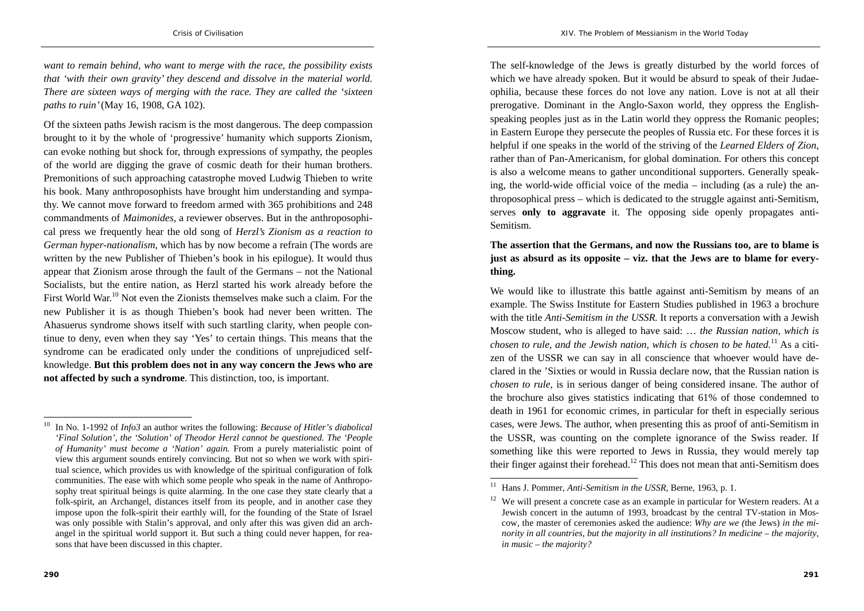*want to remain behind, who want to merge with the race, the possibility exists that 'with their own gravity' they descend and dissolve in the material world. There are sixteen ways of merging with the race. They are called the 'sixteen paths to ruin'* (May 16, 1908, GA 102).

Of the sixteen paths Jewish racism is the most dangerous. The deep compassion brought to it by the whole of 'progressive' humanity which supports Zionism, can evoke nothing but shock for, through expressions of sympathy, the peoples of the world are digging the grave of cosmic death for their human brothers. Premonitions of such approaching catastrophe moved Ludwig Thieben to write his book. Many anthroposophists have brought him understanding and sympathy. We cannot move forward to freedom armed with 365 prohibitions and 248 commandments of *Maimonides*, a reviewer observes. But in the anthroposophical press we frequently hear the old song of *Herzl's Zionism as a reaction to German hyper-nationalism,* which has by now become a refrain (The words are written by the new Publisher of Thieben's book in his epilogue). It would thus appear that Zionism arose through the fault of the Germans – not the National Socialists, but the entire nation, as Herzl started his work already before the First World War.<sup>10</sup> Not even the Zionists themselves make such a claim. For the new Publisher it is as though Thieben's book had never been written. The Ahasuerus syndrome shows itself with such startling clarity, when people continue to deny, even when they say 'Yes' to certain things. This means that the syndrome can be eradicated only under the conditions of unprejudiced selfknowledge. **But this problem does not in any way concern the Jews who are not affected by such a syndrome**. This distinction, too, is important.

The self-knowledge of the Jews is greatly disturbed by the world forces of which we have already spoken. But it would be absurd to speak of their Judaeophilia, because these forces do not love any nation. Love is not at all their prerogative. Dominant in the Anglo-Saxon world, they oppress the Englishspeaking peoples just as in the Latin world they oppress the Romanic peoples; in Eastern Europe they persecute the peoples of Russia etc. For these forces it is helpful if one speaks in the world of the striving of the *Learned Elders of Zion*, rather than of Pan-Americanism, for global domination. For others this concept is also a welcome means to gather unconditional supporters. Generally speaking, the world-wide official voice of the media – including (as a rule) the anthroposophical press – which is dedicated to the struggle against anti-Semitism, serves **only to aggravate** it. The opposing side openly propagates anti-Semitism.

#### **The assertion that the Germans, and now the Russians too, are to blame is just as absurd as its opposite – viz. that the Jews are to blame for everything.**

We would like to illustrate this battle against anti-Semitism by means of an example. The Swiss Institute for Eastern Studies published in 1963 a brochure with the title *Anti-Semitism in the USSR.* It reports a conversation with a Jewish Moscow student, who is alleged to have said: … *the Russian nation, which is chosen to rule, and the Jewish nation, which is chosen to be hated.*11 As a citizen of the USSR we can say in all conscience that whoever would have declared in the 'Sixties or would in Russia declare now, that the Russian nation is *chosen to rule,* is in serious danger of being considered insane. The author of the brochure also gives statistics indicating that 61% of those condemned to death in 1961 for economic crimes, in particular for theft in especially serious cases, were Jews. The author, when presenting this as proof of anti-Semitism in the USSR, was counting on the complete ignorance of the Swiss reader. If something like this were reported to Jews in Russia, they would merely tap their finger against their forehead.<sup>12</sup> This does not mean that anti-Semitism does

<sup>10</sup> In No. 1-1992 of *Info3* an author writes the following: *Because of Hitler's diabolical 'Final Solution', the 'Solution' of Theodor Herzl cannot be questioned. The 'People of Humanity' must become a 'Nation' again.* From a purely materialistic point of view this argument sounds entirely convincing. But not so when we work with spiritual science, which provides us with knowledge of the spiritual configuration of folk communities. The ease with which some people who speak in the name of Anthroposophy treat spiritual beings is quite alarming. In the one case they state clearly that a folk-spirit, an Archangel, distances itself from its people, and in another case they impose upon the folk-spirit their earthly will, for the founding of the State of Israel was only possible with Stalin's approval, and only after this was given did an archangel in the spiritual world support it. But such a thing could never happen, for reasons that have been discussed in this chapter.

<sup>11</sup> Hans J. Pommer, *Anti-Semitism in the USSR,* Berne, 1963, p. 1.

 $12$  We will present a concrete case as an example in particular for Western readers. At a Jewish concert in the autumn of 1993, broadcast by the central TV-station in Moscow, the master of ceremonies asked the audience: *Why are we (*the Jews) *in the minority in all countries, but the majority in all institutions? In medicine – the majority, in music – the majority?*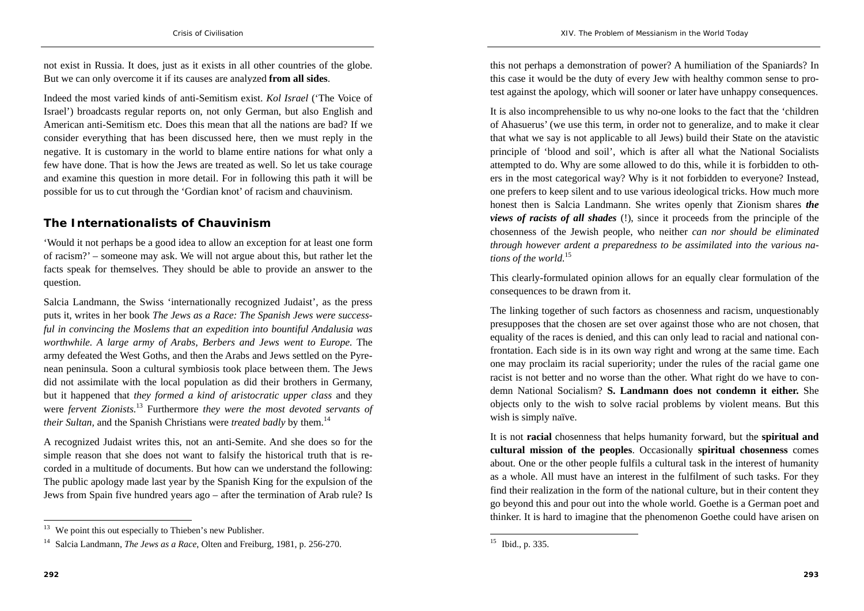not exist in Russia. It does, just as it exists in all other countries of the globe. But we can only overcome it if its causes are analyzed **from all sides**.

Indeed the most varied kinds of anti-Semitism exist. *Kol Israel* ('The Voice of Israel') broadcasts regular reports on, not only German, but also English and American anti-Semitism etc. Does this mean that all the nations are bad? If we consider everything that has been discussed here, then we must reply in the negative. It is customary in the world to blame entire nations for what only a few have done. That is how the Jews are treated as well. So let us take courage and examine this question in more detail. For in following this path it will be possible for us to cut through the 'Gordian knot' of racism and chauvinism.

# **The Internationalists of Chauvinism**

'Would it not perhaps be a good idea to allow an exception for at least one form of racism?' – someone may ask. We will not argue about this, but rather let the facts speak for themselves. They should be able to provide an answer to the question.

Salcia Landmann, the Swiss 'internationally recognized Judaist', as the press puts it, writes in her book *The Jews as a Race: The Spanish Jews were successful in convincing the Moslems that an expedition into bountiful Andalusia was worthwhile. A large army of Arabs, Berbers and Jews went to Europe.* The army defeated the West Goths, and then the Arabs and Jews settled on the Pyrenean peninsula. Soon a cultural symbiosis took place between them. The Jews did not assimilate with the local population as did their brothers in Germany, but it happened that *they formed a kind of aristocratic upper class* and they were *fervent Zionists.*13 Furthermore *they were the most devoted servants of their Sultan,* and the Spanish Christians were *treated badly* by them.<sup>14</sup>

A recognized Judaist writes this, not an anti-Semite. And she does so for the simple reason that she does not want to falsify the historical truth that is recorded in a multitude of documents. But how can we understand the following: The public apology made last year by the Spanish King for the expulsion of the Jews from Spain five hundred years ago – after the termination of Arab rule? Is this not perhaps a demonstration of power? A humiliation of the Spaniards? In this case it would be the duty of every Jew with healthy common sense to protest against the apology, which will sooner or later have unhappy consequences.

It is also incomprehensible to us why no-one looks to the fact that the 'children of Ahasuerus' (we use this term, in order not to generalize, and to make it clear that what we say is not applicable to all Jews) build their State on the atavistic principle of 'blood and soil', which is after all what the National Socialists attempted to do. Why are some allowed to do this, while it is forbidden to others in the most categorical way? Why is it not forbidden to everyone? Instead, one prefers to keep silent and to use various ideological tricks. How much more honest then is Salcia Landmann. She writes openly that Zionism shares *the views of racists of all shades* (!), since it proceeds from the principle of the chosenness of the Jewish people, who neither *can nor should be eliminated through however ardent a preparedness to be assimilated into the various nations of the world.*<sup>15</sup>

This clearly-formulated opinion allows for an equally clear formulation of the consequences to be drawn from it.

The linking together of such factors as chosenness and racism, unquestionably presupposes that the chosen are set over against those who are not chosen, that equality of the races is denied, and this can only lead to racial and national confrontation. Each side is in its own way right and wrong at the same time. Each one may proclaim its racial superiority; under the rules of the racial game one racist is not better and no worse than the other. What right do we have to condemn National Socialism? **S. Landmann does not condemn it either.** She objects only to the wish to solve racial problems by violent means. But this wish is simply naïve.

It is not **racial** chosenness that helps humanity forward, but the **spiritual and cultural mission of the peoples**. Occasionally **spiritual chosenness** comes about. One or the other people fulfils a cultural task in the interest of humanity as a whole. All must have an interest in the fulfilment of such tasks. For they find their realization in the form of the national culture, but in their content they go beyond this and pour out into the whole world. Goethe is a German poet and thinker. It is hard to imagine that the phenomenon Goethe could have arisen on

 $13$  We point this out especially to Thieben's new Publisher.

<sup>14</sup> Salcia Landmann, *The Jews as a Race*, Olten and Freiburg, 1981, p. 256-270.

<sup>15</sup> Ibid., p. 335.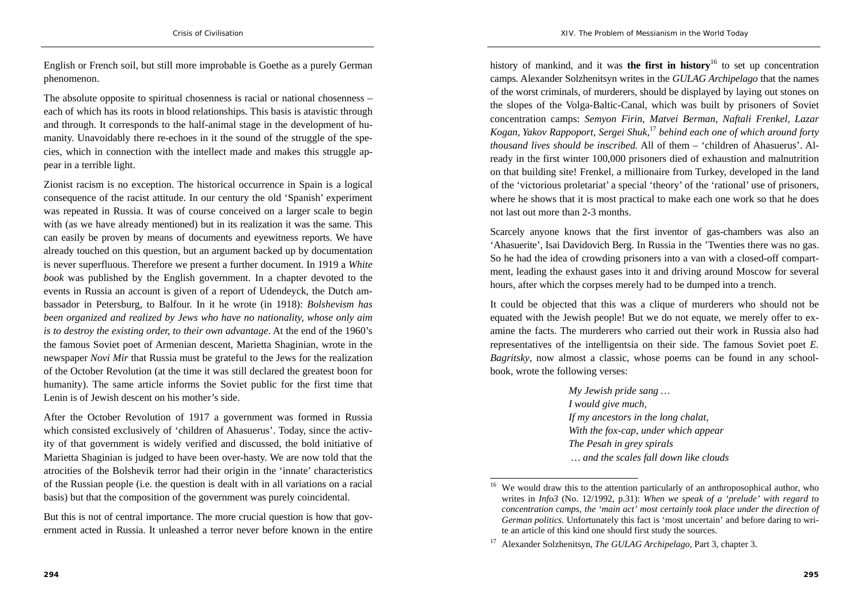English or French soil, but still more improbable is Goethe as a purely German phenomenon.

The absolute opposite to spiritual chosenness is racial or national chosenness – each of which has its roots in blood relationships. This basis is atavistic through and through. It corresponds to the half-animal stage in the development of humanity. Unavoidably there re-echoes in it the sound of the struggle of the species, which in connection with the intellect made and makes this struggle appear in a terrible light.

Zionist racism is no exception. The historical occurrence in Spain is a logical consequence of the racist attitude. In our century the old 'Spanish' experiment was repeated in Russia. It was of course conceived on a larger scale to begin with (as we have already mentioned) but in its realization it was the same. This can easily be proven by means of documents and eyewitness reports. We have already touched on this question, but an argument backed up by documentation is never superfluous. Therefore we present a further document. In 1919 a *White book* was published by the English government. In a chapter devoted to the events in Russia an account is given of a report of Udendeyck, the Dutch ambassador in Petersburg, to Balfour. In it he wrote (in 1918): *Bolshevism has been organized and realized by Jews who have no nationality, whose only aim is to destroy the existing order, to their own advantage.* At the end of the 1960's the famous Soviet poet of Armenian descent, Marietta Shaginian, wrote in the newspaper *Novi Mir* that Russia must be grateful to the Jews for the realization of the October Revolution (at the time it was still declared the greatest boon for humanity). The same article informs the Soviet public for the first time that Lenin is of Jewish descent on his mother's side.

After the October Revolution of 1917 a government was formed in Russia which consisted exclusively of 'children of Ahasuerus'. Today, since the activity of that government is widely verified and discussed, the bold initiative of Marietta Shaginian is judged to have been over-hasty. We are now told that the atrocities of the Bolshevik terror had their origin in the 'innate' characteristics of the Russian people (i.e. the question is dealt with in all variations on a racial basis) but that the composition of the government was purely coincidental.

But this is not of central importance. The more crucial question is how that government acted in Russia. It unleashed a terror never before known in the entire history of mankind, and it was **the first in history**16 to set up concentration camps. Alexander Solzhenitsyn writes in the *GULAG Archipelago* that the names of the worst criminals, of murderers, should be displayed by laying out stones on the slopes of the Volga-Baltic-Canal, which was built by prisoners of Soviet concentration camps: *Semyon Firin, Matvei Berman, Naftali Frenkel, Lazar Kogan, Yakov Rappoport, Sergei Shuk,*<sup>17</sup> *behind each one of which around forty thousand lives should be inscribed.* All of them – 'children of Ahasuerus'. Already in the first winter 100,000 prisoners died of exhaustion and malnutrition on that building site! Frenkel, a millionaire from Turkey, developed in the land of the 'victorious proletariat' a special 'theory' of the 'rational' use of prisoners, where he shows that it is most practical to make each one work so that he does not last out more than 2-3 months.

Scarcely anyone knows that the first inventor of gas-chambers was also an 'Ahasuerite', Isai Davidovich Berg. In Russia in the 'Twenties there was no gas. So he had the idea of crowding prisoners into a van with a closed-off compartment, leading the exhaust gases into it and driving around Moscow for several hours, after which the corpses merely had to be dumped into a trench.

It could be objected that this was a clique of murderers who should not be equated with the Jewish people! But we do not equate, we merely offer to examine the facts. The murderers who carried out their work in Russia also had representatives of the intelligentsia on their side. The famous Soviet poet *E. Bagritsky*, now almost a classic, whose poems can be found in any schoolbook, wrote the following verses:

> *My Jewish pride sang … I would give much, If my ancestors in the long chalat, With the fox-cap, under which appear The Pesah in grey spirals … and the scales fall down like clouds*

We would draw this to the attention particularly of an anthroposophical author, who writes in *Info3* (No. 12/1992, p.31): *When we speak of a 'prelude' with regard to concentration camps, the 'main act' most certainly took place under the direction of German politics.* Unfortunately this fact is 'most uncertain' and before daring to write an article of this kind one should first study the sources.

<sup>17</sup> Alexander Solzhenitsyn, *The GULAG Archipelago*, Part 3, chapter 3.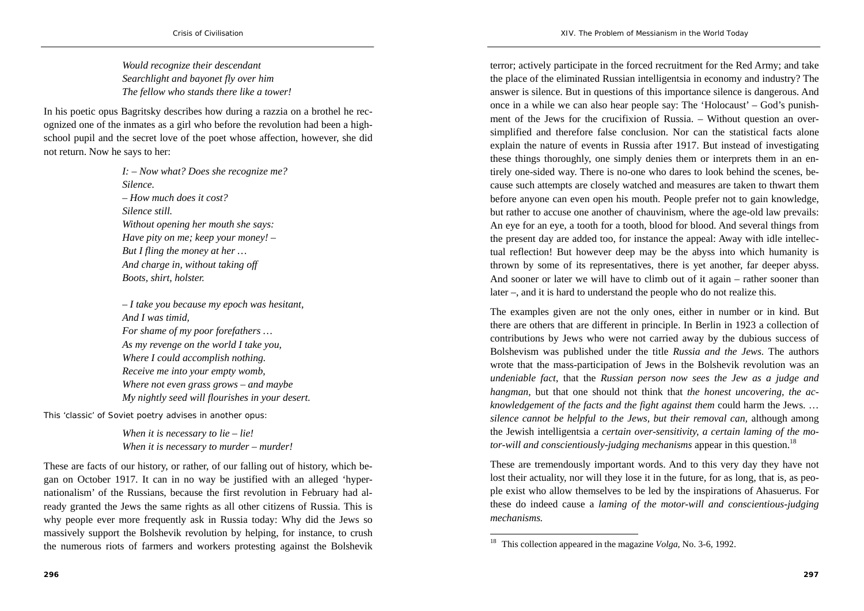*Would recognize their descendant Searchlight and bayonet fly over him The fellow who stands there like a tower!* 

In his poetic opus Bagritsky describes how during a razzia on a brothel he recognized one of the inmates as a girl who before the revolution had been a highschool pupil and the secret love of the poet whose affection, however, she did not return. Now he says to her:

> *I: – Now what? Does she recognize me? Silence. – How much does it cost? Silence still. Without opening her mouth she says: Have pity on me; keep your money! – But I fling the money at her … And charge in, without taking off Boots, shirt, holster.*

*– I take you because my epoch was hesitant, And I was timid, For shame of my poor forefathers … As my revenge on the world I take you, Where I could accomplish nothing. Receive me into your empty womb, Where not even grass grows – and maybe My nightly seed will flourishes in your desert.* 

This 'classic' of Soviet poetry advises in another opus:

*When it is necessary to lie – lie! When it is necessary to murder – murder!* 

These are facts of our history, or rather, of our falling out of history, which began on October 1917. It can in no way be justified with an alleged 'hypernationalism' of the Russians, because the first revolution in February had already granted the Jews the same rights as all other citizens of Russia. This is why people ever more frequently ask in Russia today: Why did the Jews so massively support the Bolshevik revolution by helping, for instance, to crush the numerous riots of farmers and workers protesting against the Bolshevik

terror; actively participate in the forced recruitment for the Red Army; and take the place of the eliminated Russian intelligentsia in economy and industry? The answer is silence. But in questions of this importance silence is dangerous. And once in a while we can also hear people say: The 'Holocaust' – God's punishment of the Jews for the crucifixion of Russia. – Without question an oversimplified and therefore false conclusion. Nor can the statistical facts alone explain the nature of events in Russia after 1917. But instead of investigating these things thoroughly, one simply denies them or interprets them in an entirely one-sided way. There is no-one who dares to look behind the scenes, because such attempts are closely watched and measures are taken to thwart them before anyone can even open his mouth. People prefer not to gain knowledge, but rather to accuse one another of chauvinism, where the age-old law prevails: An eye for an eye, a tooth for a tooth, blood for blood. And several things from the present day are added too, for instance the appeal: Away with idle intellectual reflection! But however deep may be the abyss into which humanity is thrown by some of its representatives, there is yet another, far deeper abyss. And sooner or later we will have to climb out of it again – rather sooner than later –, and it is hard to understand the people who do not realize this.

The examples given are not the only ones, either in number or in kind. But there are others that are different in principle. In Berlin in 1923 a collection of contributions by Jews who were not carried away by the dubious success of Bolshevism was published under the title *Russia and the Jews.* The authors wrote that the mass-participation of Jews in the Bolshevik revolution was an *undeniable fact*, that the *Russian person now sees the Jew as a judge and hangman,* but that one should not think that *the honest uncovering, the acknowledgement of the facts and the fight against them* could harm the Jews. … *silence cannot be helpful to the Jews, but their removal can,* although among the Jewish intelligentsia a *certain over-sensitivity, a certain laming of the motor-will and conscientiously-judging mechanisms* appear in this question.<sup>18</sup>

These are tremendously important words. And to this very day they have not lost their actuality, nor will they lose it in the future, for as long, that is, as people exist who allow themselves to be led by the inspirations of Ahasuerus. For these do indeed cause a *laming of the motor-will and conscientious-judging mechanisms.*

<sup>18</sup> This collection appeared in the magazine *Volga*, No. 3-6, 1992.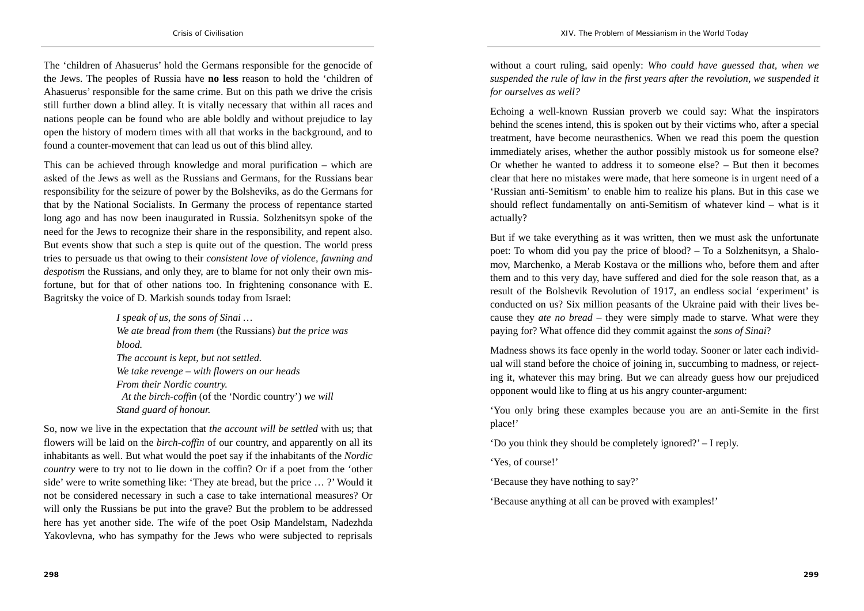The 'children of Ahasuerus' hold the Germans responsible for the genocide of the Jews. The peoples of Russia have **no less** reason to hold the 'children of Ahasuerus' responsible for the same crime. But on this path we drive the crisis still further down a blind alley. It is vitally necessary that within all races and nations people can be found who are able boldly and without prejudice to lay open the history of modern times with all that works in the background, and to found a counter-movement that can lead us out of this blind alley.

This can be achieved through knowledge and moral purification – which are asked of the Jews as well as the Russians and Germans, for the Russians bear responsibility for the seizure of power by the Bolsheviks, as do the Germans for that by the National Socialists. In Germany the process of repentance started long ago and has now been inaugurated in Russia. Solzhenitsyn spoke of the need for the Jews to recognize their share in the responsibility, and repent also. But events show that such a step is quite out of the question. The world press tries to persuade us that owing to their *consistent love of violence, fawning and despotism* the Russians, and only they, are to blame for not only their own misfortune, but for that of other nations too. In frightening consonance with E. Bagritsky the voice of D. Markish sounds today from Israel:

> *I speak of us, the sons of Sinai … We ate bread from them* (the Russians) *but the price was blood. The account is kept, but not settled. We take revenge – with flowers on our heads From their Nordic country. At the birch-coffin* (of the 'Nordic country') *we will Stand guard of honour.*

So, now we live in the expectation that *the account will be settled* with us; that flowers will be laid on the *birch-coffin* of our country, and apparently on all its inhabitants as well. But what would the poet say if the inhabitants of the *Nordic country* were to try not to lie down in the coffin? Or if a poet from the 'other side' were to write something like: 'They ate bread, but the price … ?' Would it not be considered necessary in such a case to take international measures? Or will only the Russians be put into the grave? But the problem to be addressed here has yet another side. The wife of the poet Osip Mandelstam, Nadezhda Yakovlevna, who has sympathy for the Jews who were subjected to reprisals

without a court ruling, said openly: *Who could have guessed that, when we suspended the rule of law in the first years after the revolution, we suspended it for ourselves as well?*

Echoing a well-known Russian proverb we could say: What the inspirators behind the scenes intend, this is spoken out by their victims who, after a special treatment, have become neurasthenics. When we read this poem the question immediately arises, whether the author possibly mistook us for someone else? Or whether he wanted to address it to someone else? – But then it becomes clear that here no mistakes were made, that here someone is in urgent need of a 'Russian anti-Semitism' to enable him to realize his plans. But in this case we should reflect fundamentally on anti-Semitism of whatever kind – what is it actually?

But if we take everything as it was written, then we must ask the unfortunate poet: To whom did you pay the price of blood? – To a Solzhenitsyn, a Shalomov, Marchenko, a Merab Kostava or the millions who, before them and after them and to this very day, have suffered and died for the sole reason that, as a result of the Bolshevik Revolution of 1917, an endless social 'experiment' is conducted on us? Six million peasants of the Ukraine paid with their lives because they *ate no bread* – they were simply made to starve. What were they paying for? What offence did they commit against the *sons of Sinai*?

Madness shows its face openly in the world today. Sooner or later each individual will stand before the choice of joining in, succumbing to madness, or rejecting it, whatever this may bring. But we can already guess how our prejudiced opponent would like to fling at us his angry counter-argument:

'You only bring these examples because you are an anti-Semite in the first place!'

'Do you think they should be completely ignored?' – I reply.

'Yes, of course!'

'Because they have nothing to say?'

'Because anything at all can be proved with examples!'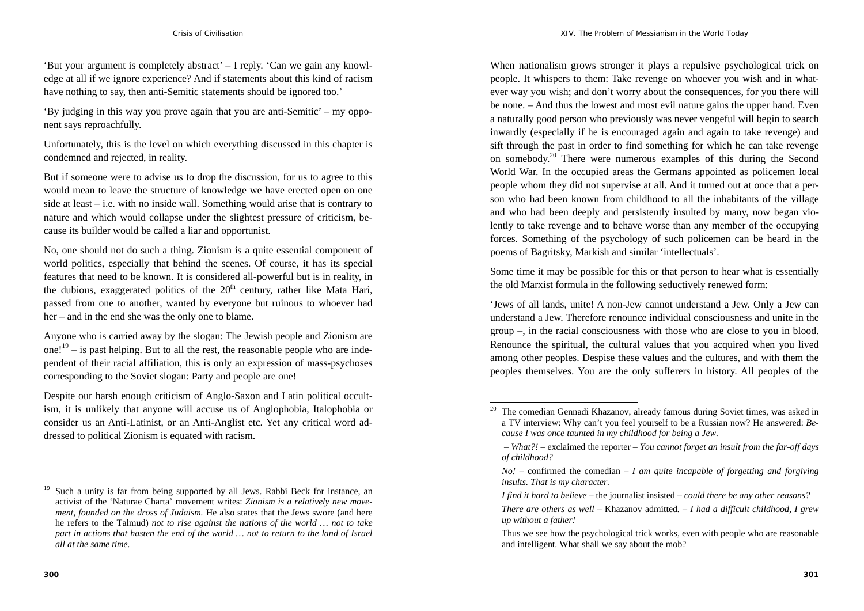'But your argument is completely abstract' – I reply. 'Can we gain any knowledge at all if we ignore experience? And if statements about this kind of racism have nothing to say, then anti-Semitic statements should be ignored too.'

'By judging in this way you prove again that you are anti-Semitic' – my opponent says reproachfully.

Unfortunately, this is the level on which everything discussed in this chapter is condemned and rejected, in reality.

But if someone were to advise us to drop the discussion, for us to agree to this would mean to leave the structure of knowledge we have erected open on one side at least – i.e. with no inside wall. Something would arise that is contrary to nature and which would collapse under the slightest pressure of criticism, because its builder would be called a liar and opportunist.

No, one should not do such a thing. Zionism is a quite essential component of world politics, especially that behind the scenes. Of course, it has its special features that need to be known. It is considered all-powerful but is in reality, in the dubious, exaggerated politics of the  $20<sup>th</sup>$  century, rather like Mata Hari, passed from one to another, wanted by everyone but ruinous to whoever had her – and in the end she was the only one to blame.

Anyone who is carried away by the slogan: The Jewish people and Zionism are one!<sup>19</sup> – is past helping. But to all the rest, the reasonable people who are independent of their racial affiliation, this is only an expression of mass-psychoses corresponding to the Soviet slogan: Party and people are one!

Despite our harsh enough criticism of Anglo-Saxon and Latin political occultism, it is unlikely that anyone will accuse us of Anglophobia, Italophobia or consider us an Anti-Latinist, or an Anti-Anglist etc. Yet any critical word addressed to political Zionism is equated with racism.

When nationalism grows stronger it plays a repulsive psychological trick on people. It whispers to them: Take revenge on whoever you wish and in whatever way you wish; and don't worry about the consequences, for you there will be none. – And thus the lowest and most evil nature gains the upper hand. Even a naturally good person who previously was never vengeful will begin to search inwardly (especially if he is encouraged again and again to take revenge) and sift through the past in order to find something for which he can take revenge on somebody.20 There were numerous examples of this during the Second World War. In the occupied areas the Germans appointed as policemen local people whom they did not supervise at all. And it turned out at once that a person who had been known from childhood to all the inhabitants of the village and who had been deeply and persistently insulted by many, now began violently to take revenge and to behave worse than any member of the occupying forces. Something of the psychology of such policemen can be heard in the poems of Bagritsky, Markish and similar 'intellectuals'.

Some time it may be possible for this or that person to hear what is essentially the old Marxist formula in the following seductively renewed form:

'Jews of all lands, unite! A non-Jew cannot understand a Jew. Only a Jew can understand a Jew. Therefore renounce individual consciousness and unite in the group –, in the racial consciousness with those who are close to you in blood. Renounce the spiritual, the cultural values that you acquired when you lived among other peoples. Despise these values and the cultures, and with them the peoples themselves. You are the only sufferers in history. All peoples of the

Such a unity is far from being supported by all Jews. Rabbi Beck for instance, an activist of the 'Naturae Charta' movement writes: *Zionism is a relatively new movement, founded on the dross of Judaism.* He also states that the Jews swore (and here he refers to the Talmud) *not to rise against the nations of the world … not to take part in actions that hasten the end of the world … not to return to the land of Israel all at the same time.*

<sup>&</sup>lt;sup>20</sup> The comedian Gennadi Khazanov, already famous during Soviet times, was asked in a TV interview: Why can't you feel yourself to be a Russian now? He answered: *Because I was once taunted in my childhood for being a Jew.* 

*– What?! –* exclaimed the reporter *– You cannot forget an insult from the far-off days of childhood?* 

*No! –* confirmed the comedian *– I am quite incapable of forgetting and forgiving insults. That is my character.* 

*I find it hard to believe* – the journalist insisted – *could there be any other reasons?* 

*There are others as well –* Khazanov admitted*. – I had a difficult childhood, I grew up without a father!* 

Thus we see how the psychological trick works, even with people who are reasonable and intelligent. What shall we say about the mob?